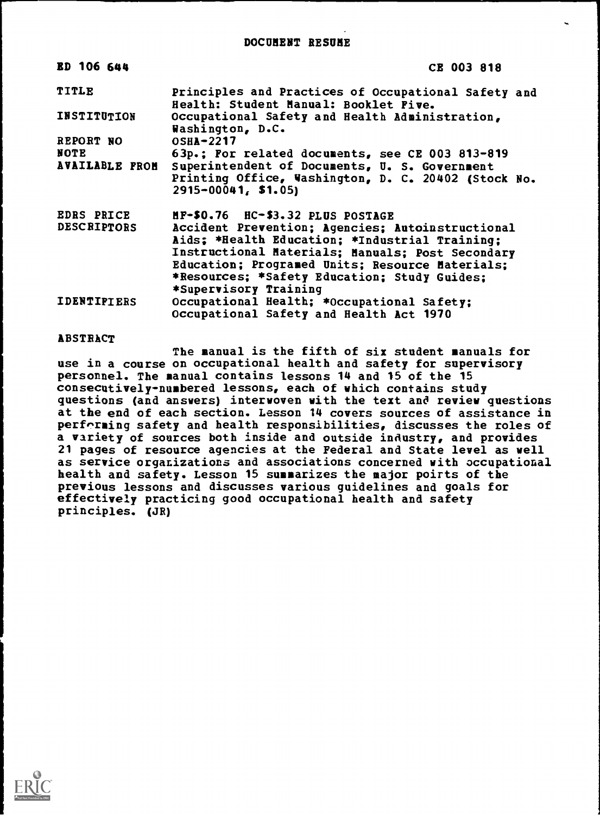| <b>ED 106 644</b>     | CE 003 818                                                                                   |
|-----------------------|----------------------------------------------------------------------------------------------|
| <b>TITLE</b>          | Principles and Practices of Occupational Safety and<br>Health: Student Manual: Booklet Five. |
| INSTITUTION           | Occupational Safety and Health Administration,<br>Washington, D.C.                           |
| REPORT NO             | <b>OSHA-2217</b>                                                                             |
| <b>NOTE</b>           | 63p.; For related documents, see CE 003 813-819                                              |
| <b>AVAILABLE FROM</b> | Superintendent of Documents, U. S. Government                                                |
|                       | Printing Office, Washington, D. C. 20402 (Stock No.<br>$2915 - 00041, 51.05$                 |
| <b>EDRS PRICE</b>     | HF-\$0.76 HC-\$3.32 PLUS POSTAGE                                                             |
| <b>DESCRIPTORS</b>    | Accident Prevention; Agencies; Autoinstructional                                             |
|                       | Aids: *Health Education; *Industrial Training;                                               |
|                       | Instructional Materials; Manuals; Post Secondary                                             |
|                       | Education; Programed Units; Resource Materials;                                              |
|                       | *Resources; *Safety Education; Study Guides;                                                 |
|                       | *Supervisory Training                                                                        |
| <b>IDENTIPIERS</b>    | Occupational Health; *Occupational Safety;                                                   |
|                       | Occupational Safety and Health Act 1970                                                      |

# ABSTRACT

The manual is the fifth of six student manuals for use in a course on occupational health and safety for supervisory personnel. The manual contains lessons 14 and 15 of the 15 consecutively-numbered lessons, each of which contains study questions (and answers) interwoven with the text and review questions at the end of each section. Lesson 14 covers sources of assistance in performing safety and health responsibilities, discusses the roles of a variety of sources both inside and outside industry, and provides 21 pages of resource agencies at the Federal and State level as well as service organizations and associations concerned with occupational health and safety. Lesson 15 summarizes the major poirts of the previous lessons and discusses various guidelines and goals for effectively practicing good occupational health and safety principles. (JR)

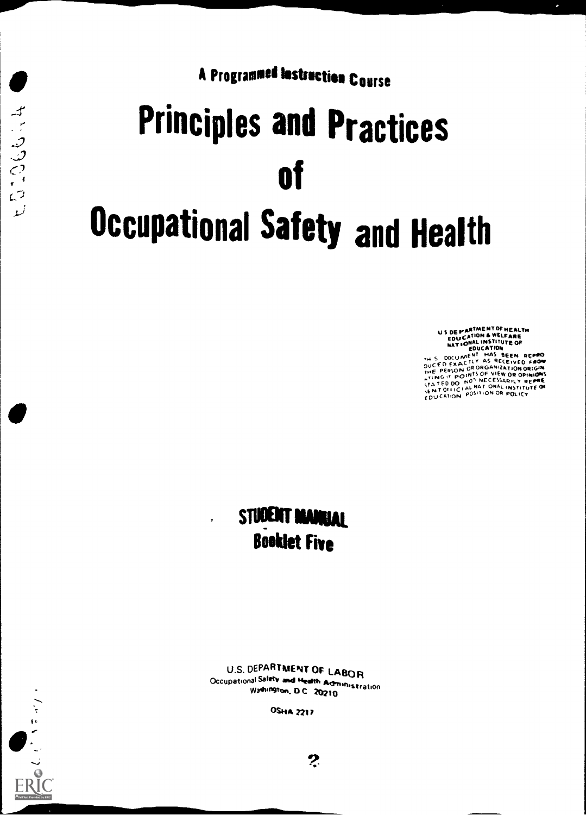A Programmed Instruction Course

# Principles and Practices  $\mathbf{C}^2$  of  $\mathbf{C}^1$ Occupational Safety and Health

US DE PARTMENT OF HEALTH<br>EDUCATION & WELFARE<br>EDUCATION<br>THE SEEN SEEN SEEN SEEN<br>THE SOCUMENT HAS SEEN SEEND<br>DUCFO EXACTLY AS RECEIVED FOR<br>DUCFO EXACTLY AS RECEIVED FOR **THE PERSON ON UNUMINION ORIGINAL**<br>LIT. ING. IT. POTINIS OF VIEW OR OPINIONS<br>CESTED DO N<sup>OS</sup> NECESSARILY REPRE STA TED DO ONOT NECESSARILY REPRESSANT ON A STATION ON ICAT, ON ICAT, ON ICAT, ON ICAT, ON ICAT, ON ICAT, ON I<br>SENT OFFICIAL NATION OR POLICY , A SUITON POLICY , CAT, ON POSITION POSITION POSITION OR POLICY ,

# STUDENT MANUAL Booklet Ewe

U.S. DEPARTMENT OF LABOR Occupational Safety and Health Administration<br>Wadvington, D.C. 20210

OSHA 2217



 $\boldsymbol{P}$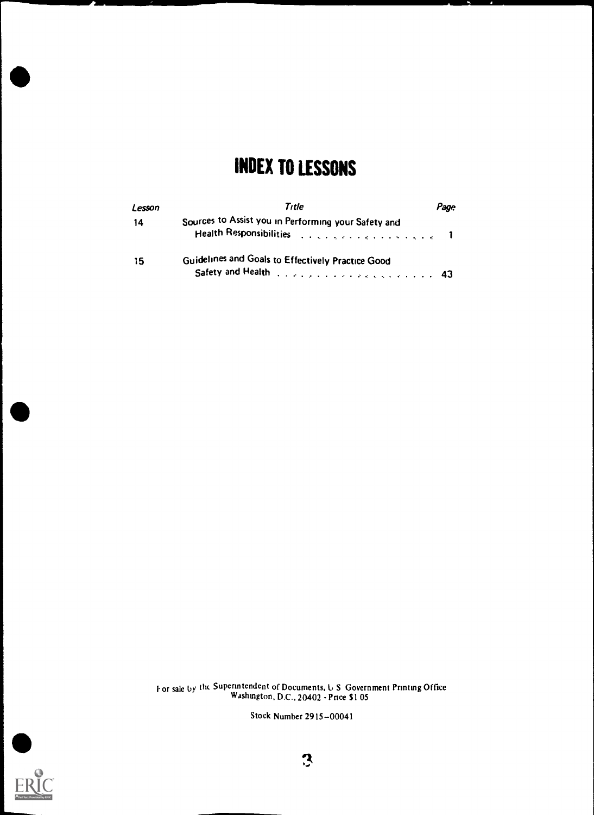# INDEX TO LESSONS

| Lesson | Title                                                                                                                  | Page |
|--------|------------------------------------------------------------------------------------------------------------------------|------|
| -14    | Sources to Assist you in Performing your Safety and<br>Health Responsibilities (e.g., e.g., e.g., e.g., e.g., e.g., T. |      |
| -15    | Guidelines and Goals to Effectively Practice Good<br>Safety and Health (education of a subsequence of 43               |      |

For sale by the Superintendent of Documents, U.S. Government Printing Office Washington, D.C., 20402 - Pnce \$1 05

Stock Number 2915-00041

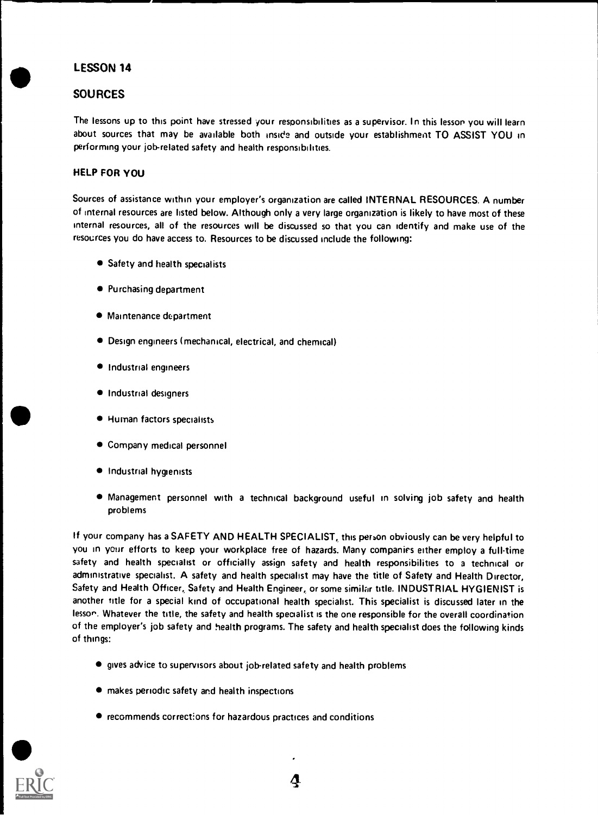# LESSON 14

# SOURCES

The lessons up to this point have stressed your responsibilities as a supervisor. In this lesson you will learn about sources that may be available both inside and outside your establishment TO ASSIST YOU in performing your job-related safety and health responsibilities.

# HELP FOR YOU

Sources of assistance within your employer's organization are called INTERNAL RESOURCES. A number of internal resources are listed below. Although only a very large organization is likely to have most of these internal resources, all of the resources will be discussed so that you can identify and make use of the resources you do have access to. Resources to be discussed include the following:

- Safety and health specialists
- Purchasing department
- $\bullet$  Maintenance department
- Design engineers (mechanical, electrical, and chemical)
- Industrial engineers
- **Industrial designers**
- Human factors specialists
- Company medical personnel
- $\bullet$  Industrial hygienists
- Management personnel with a technical background useful in solving job safety and health problems

If your company has a SAFETY AND HEALTH SPECIALIST, this person obviously can be very helpful to you in your efforts to keep your workplace free of hazards. Many companies either employ a full-time safety and health specialist or officially assign safety and health responsibilities to a technical or administrative specialist. A safety and health specialist may have the title of Safety and Health Director, Safety and Health Officer, Safety and Health Engineer, or some similar title. INDUSTRIAL HYGIENIST is another title for a special kind of occupational health specialist. This specialist is discussed later in the lesson. Whatever the title, the safety and health specialist is the one responsible for the overall coordination of the employer's job safety and health programs. The safety and health specialist does the following kinds of things:

- gives advice to supervisors about jobrelated safety and health problems
- makes periodic safety and health inspections
- recommends corrections for hazardous practices and conditions

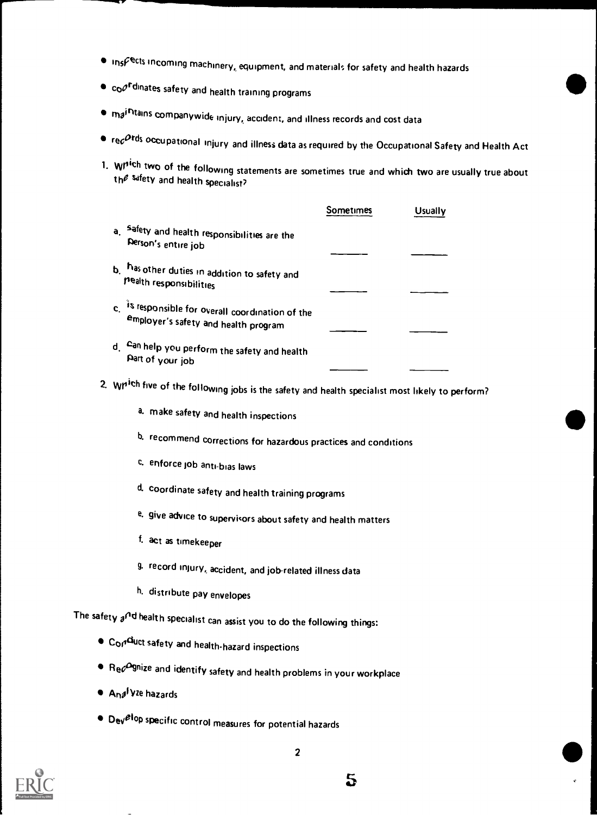- $\bullet$  ins $\mathcal{F}^\mathsf{Rcts}$  incoming machinery, equipment, and materials for safety and health hazards
- $\bullet$  co $\mathcal{O}^{\mathsf{r}}$ dinates safety and health training programs
- $\bullet$   $m_{\theta}i$ <sup>r</sup>itains companywide injury, accident, and illness records and cost data
- $\bullet$  re $c^{Ords}$  occupational injury and illness data as required by the Occupational Safety and Health Act
- 1. Which two of the following statements are sometimes true and which two are usually true about  $th^2$  safety and health specialist?

|    |                                                                                        | Sometimes | Usually |
|----|----------------------------------------------------------------------------------------|-----------|---------|
| a  | safety and health responsibilities are the<br>Derson's entire job                      |           |         |
| h  | has other duties in addition to safety and<br>nealth responsibilities                  |           |         |
| C. | is responsible for overall coordination of the<br>employer's safety and health program |           |         |
| d  | Can help you perform the safety and health<br>Part of your job                         |           |         |

# 2. Which five of the following jobs is the safety and health specialist most likely to perform?

- a. make safety and health inspections
- b. recommend corrections for hazardous practices and conditions
- c, enforce job anti-bias laws
- d. coordinate safety and health training programs
- e. give advice to supervisors about safety and health matters
- f. act as timekeeper
- g. record injury, accident, and job-related illness data
- h. distribute pay envelopes

The safety  $a^{n}$ d health specialist can assist you to do the following things:

- $\bullet$  Co $\rho^{\rm di}$ uct safety and health-hazard inspections
- $\bullet$  Re $c^{\text{O}}$ gnize and identify safety and health problems in your workplace
- **Anglyze hazards**
- $\bullet$  Dev $e^{i}$ op specific control measures for potential hazards

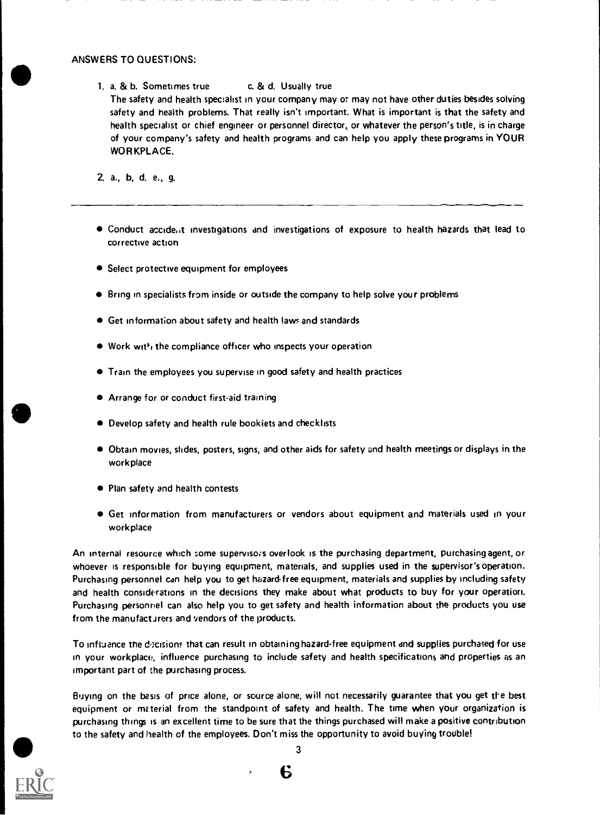1. a. & b. Sometimes true c. & d. Usually true The safety and health specialist in your company may or may not have other duties besides solving safety and health problems. That really isn't important. What is important is that the safety and health specialist or chief engineer or personnel director, or whatever the person's title, is in charge of your company's safety and health programs and can help you apply these programs in YOUR WORKPLACE.

2. a., b, d. e., g.

- Conduct accide.it investigations and investigations of exposure to health hazards that lead to corrective action
- Select protective equipment for employees
- Bring in specialists from inside or outside the company to help solve your problems
- Get information about safety and health laws and standards
- Work with the compliance officer who inspects your operation
- Train the employees you supervise in good safety and health practices
- Arrange for or conduct first-aid training
- Develop safety and health rule bookiets and checklists
- Obtain movies, slides, posters, signs, and other aids for safety and health meetings or displays in the workplace
- Plan safety and health contests
- Get information from manufacturers or vendors about equipment and materials used in your workplace

An internal resource which some supervisors overlook is the purchasing department, purchasing agent, or whoever is responsible for buying equipment, materials, and supplies used in the supervisor's operation. Purchasing personnel can help you to get hazard-free equipment, materials and supplies by including safety and health considerations in the decisions they make about what products to buy for your operation. Purchasing personnel can also help you to get safety and health information about the products you use from the manufacturers and vendors of the products.

To influence the decisions that can result in obtaining hazard-free equipment and supplies purchased for use in your workplace, influence purchasing to include safety and health specifications and properties as an important part of the purchasing process.

Buying on the basis of price alone, or source alone, will not necessarily guarantee that you get the best equipment or material from the standpoint of safety and health. The time when your organization is purchasing things is an excellent time to be sure that the things purchased will make a positive contribution to the safety and health of the employees. Don't miss the opportunity to avoid buying trouble!



3

6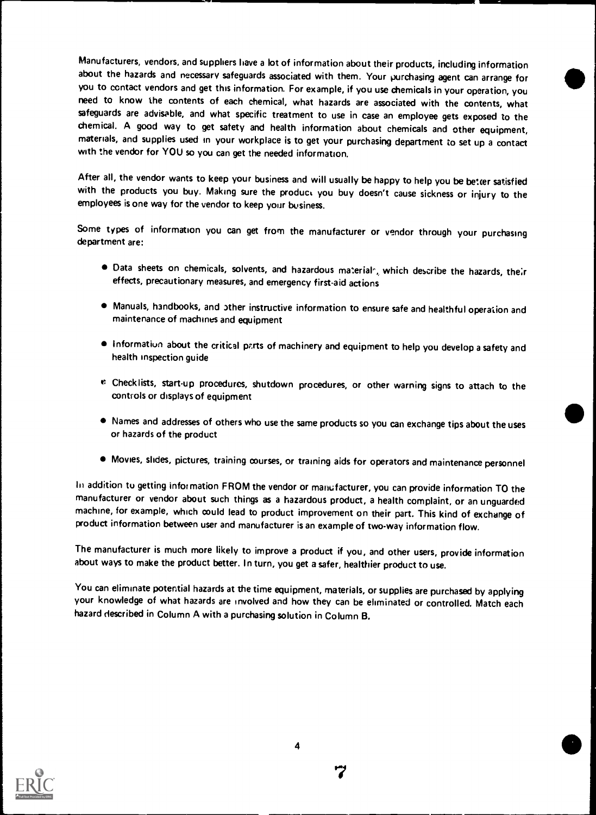Manufacturers, vendors, and suppliers have a lot of information about their products, including information about the hazards and necessary safeguards associated with them. Your purchasing agent can arrange for you to contact vendors and get this information. For example, if you use chemicals in your operation, you need to know the contents of each chemical, what hazards are associated with the contents, what safeguards are advisable, and what specific treatment to use in case an employee gets exposed to the chemical. A good way to get safety and health information about chemicals and other equipment, materials, and supplies used in your workplace is to get your purchasing department to set up a contact with the vendor for YOU so you can get the needed information.

After all, the vendor wants to keep your business and will usually be happy to help you be better satisfied with the products you buy. Making sure the product you buy doesn't cause sickness or injury to the employees is one way for the vendor to keep your business.

Some types of information you can get from the manufacturer or vendor through your purchasing department are:

- $\bullet$  Data sheets on chemicals, solvents, and hazardous materialr, which describe the hazards, their effects, precautionary measures, and emergency first-aid actions
- $\bullet$  Manuals, handbooks, and other instructive information to ensure safe and healthful operation and maintenance of machines and equipment
- $\bullet$  Information about the critical parts of machinery and equipment to help you develop a safety and health inspection guide
- l': Checklists, start-up procedures, shutdown procedures, or other warning signs to attach to the controls or displays of equipment
- Names and addresses of others who use the same products so you can exchange tips about the uses or hazards of the product
- Movies, slides, pictures, training courses, or training aids for operators and maintenance personnel

In addition to getting information FROM the vendor or manufacturer, you can provide information TO the manufacturer or vendor about such things as a hazardous product, a health complaint, or an unguarded machine, for example, which could lead to product improvement on their part. This kind of exchange of product information between user and manufacturer is an example of two-way information flow.

The manufacturer is much more likely to improve a product if you, and other users, provide information about ways to make the product better. In turn, you get a safer, healthier product to use.

You can eliminate potential hazards at the time equipment, materials, or supplies are purchased by applying your knowledge of what hazards are involved and how they can be eliminated or controlled. Match each hazard described in Column A with a purchasing solution in Column B.

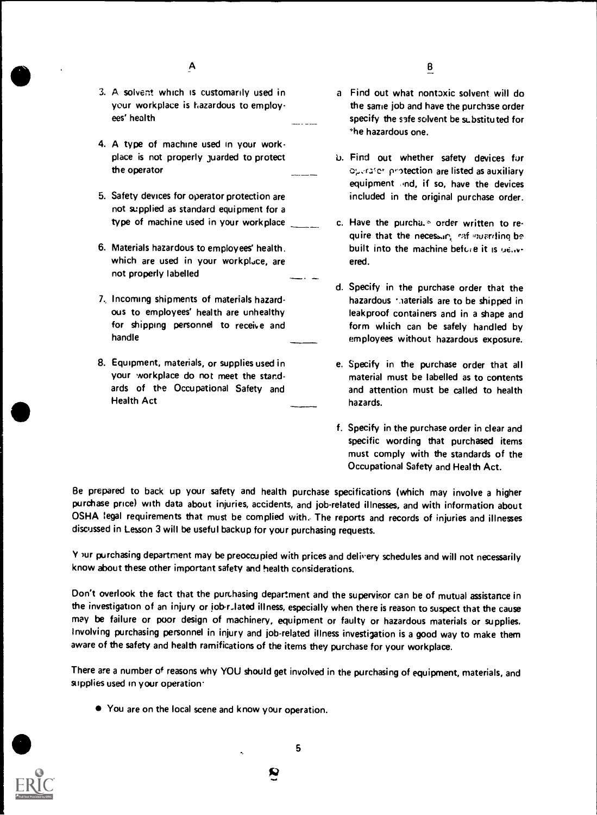- 3. A solvent which is customarily used in your workplace is hazardous to employees' health
- 4. A type of machine used in your workplace is not properly juarded to protect the operator
- 5. Safety devices for operator protection are not supplied as standard equipment for a type of machine used in your workplace
- 6. Materials hazardous to employees' health. which are used in your workpluce, are not properly labelled
- 7, Incoming shipments of materials hazardous to employees' health are unhealthy for shipping personnel to receive and handle
- 8. Equipment, materials, or supplies used in your workplace do not meet the standards of the Occupational Safety and Health Act
- B
- a Find out what nont3xic solvent will do the same job and have the purchase order specify the safe solvent be substituted for he hazardous one.
- b. Find out whether safety devices for operator protection are listed as auxiliary equipment and, if so, have the devices included in the original purchase order.
- c. Have the purcha.<sup>5</sup> order written to require that the necessary rafinavariting bebuilt into the machine before it is ue.wered.
- d. Specify in the purchase order that the hazardous raterials are to be shipped in leakproof containers and in a shape and form which can be safely handled by employees without hazardous exposure.
- e. Specify in the purchase order that all material must be labelled as to contents and attention must be called to health hazards.
- f. Specify in the purchase order in clear and specific wording that purchased items must comply with the standards of the Occupational Safety and Health Act.

Be prepared to back up your safety and health purchase specifications (which may involve a higher purchase price) with data about injuries, accidents, and job-related illnesses, and with information about OSHA legal requirements that must be complied with. The reports and records of injuries and illnesses discussed in Lesson 3 will be useful backup for your purchasing requests.

Y )ur purchasing department may be preoccupied with prices and delivery schedules and will not necessarily know about these other important safety and health considerations.

Don't overlook the fact that the purchasing department and the supervisor can be of mutual assistance in the investigation of an injury or job-rulated illness, especially when there is reason to suspect that the cause may be failure or poor design of machinery, equipment or faulty or hazardous materials or supplies. Involving purchasing personnel in injury and job-related illness investigation is a good way to make them aware of the safety and health ramifications of the items they purchase for your workplace.

There are a number of reasons why YOU should get involved in the purchasing of equipment, materials, and supplies used in your operation.

You are on the local scene and know your operation.

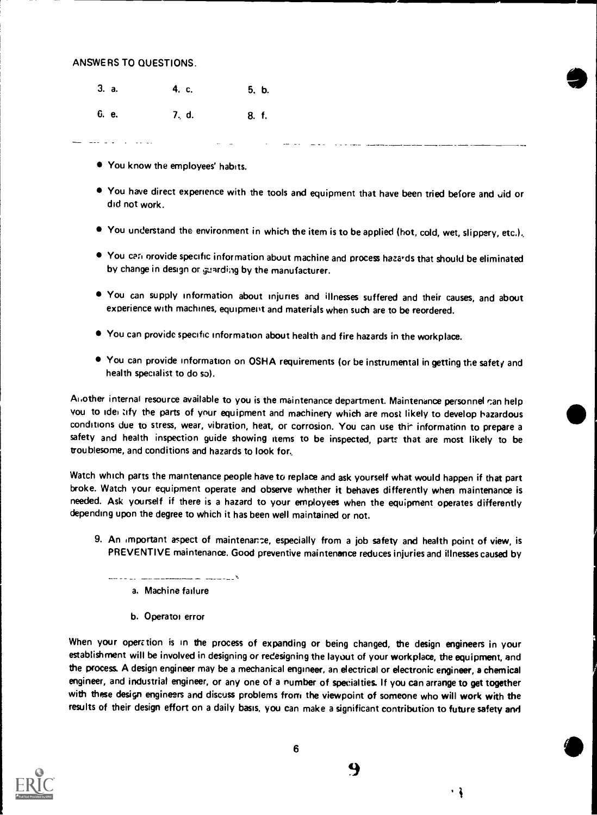3. a. 6. e. 4. c. 5. b. 7, d. 8, f.

- You know the employees' habits.
- $\bullet$  You have direct experience with the tools and equipment that have been tried before and Jid or did not work.
- $\bullet$  You understand the environment in which the item is to be applied (hot, cold, wet, slippery, etc.).
- $\bullet$  You can orovide specific information about machine and process hazards that should be eliminated by change in design or guarding by the manufacturer.
- You can supply information about injuries and illnesses suffered and their causes, and about experience with machines, equipment and materials when such are to be reordered.
- You can provide specific information about health and fire hazards in the workplace.
- You can provide information on OSHA requirements (or be instrumental in getting the safety and health specialist to do so).

Another internal resource available to you is the maintenance department. Maintenance personnel can help you to idei lify the parts of your equipment and machinery which are most likely to develop hazardous conditions due to stress, wear, vibration, heat, or corrosion. You can use thi^ information to prepare a safety and health inspection guide showing items to be inspected, parts that are most likely to be troublesome, and conditions and hazards to look for,

Watch which parts the maintenance people have to replace and ask yourself what would happen if that part broke. Watch your equipment operate and observe whether it behaves differently when maintenance is needed. Ask yourself if there is a hazard to your employees when the equipment operates differently depending upon the degree to which it has been well maintained or not.

- 9. An important aspect of maintenance, especially from a job safety and health point of view, is PREVENTIVE maintenance. Good preventive maintenance reduces injuries and illnesses caused by
	- - --- \_\_\_ -

a. Machine failure

b. Operatoi error

When your operation is in the process of expanding or being changed, the design engineers in your establishment will be involved in designing or redesigning the layout of your workplace, the equipment, and the process. A design engineer may be a mechanical engineer, an electrical or electronic engineer, a chemical engineer, and industrial engineer, or any one of a number of specialties If you can arrange to get together with these design engineers and discuss problems from the viewpoint of someone who will work with the results of their design effort on a daily basis, you can make a significant contribution to future safety and



9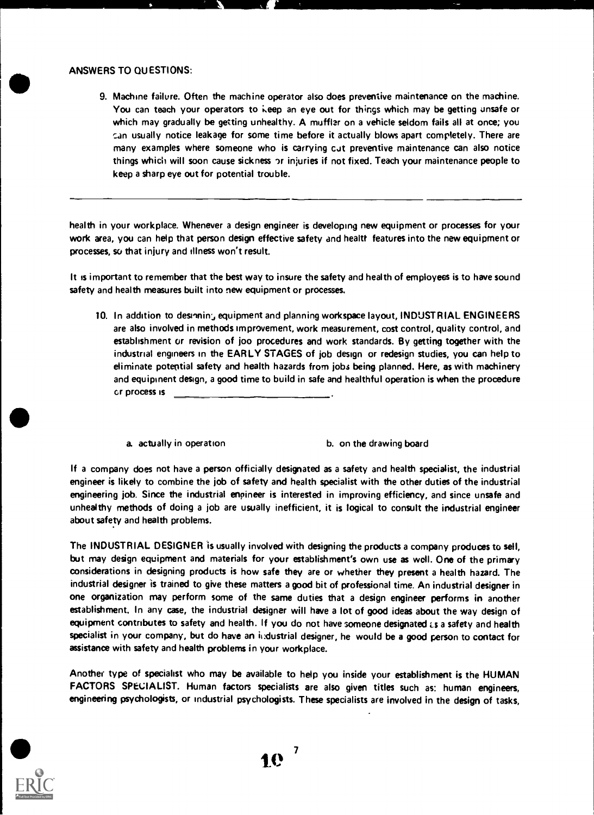11111=E:=MINIM,-711111W

9. Machine failure. Often the machine operator also does preventive maintenance on the machine. You can teach your operators to keep an eye out for things which may be getting unsafe or which may gradually be getting unhealthy. A muffler on a vehicle seldom fails all at once; you can usually notice leakage for some time before it actually blows apart completely. There are many examples where someone who is carrying cut preventive maintenance can also notice things which will soon cause sickness or injuries if not fixed. Teach your maintenance people to keep a sharp eye out for potential trouble.

health in your workplace. Whenever a design engineer is developing new equipment or processes for your work area, you can help that person design effective safety and healtt features into the new equipment or processes, so that injury and illness won't result.

It is important to remember that the best way to insure the safety and health of employees is to have sound safety and health measures built into new equipment or processes.

- 10. In addition to desinning equipment and planning workspace layout, INDUSTRIAL ENGINEERS are also involved in methods improvement, work measurement, cost control, quality control, and establishment or revision of joo procedures and work standards. By getting together with the industrial engineers in the EARLY STAGES of job design or redesign studies, you can help to eliminate potential safety and health hazards from jobs being planned. Here, as with machinery and equipment design, a good time to build in safe and healthful operation is when the procedure cr process is
	- a. actually in operation b. on the drawing board

If a company does not have a person officially designated as a safety and health specialist, the industrial engineer is likely to combine the job of safety and health specialist with the other duties of the industrial engineering job. Since the industrial enpineer is interested in improving efficiency, and since unsafe and unhealthy methods of doing a job are usually inefficient, it is logical to consult the industrial engineer about safety and health problems.

The INDUSTRIAL DESIGNER is usually involved with designing the products a company produces to sell, but may design equipment and materials for your establishment's own use as well. One of the primary considerations in designing products is how safe they are or whether they present a health hazard. The industrial designer is trained to give these matters a good bit of professional time. An industrial designer in one organization may perform some of the same duties that a design engineer performs in another establishment. In any case, the industrial designer will have a lot of good ideas about the way design of equipment contributes to safety and health. If you do not have someone designated is a safety and health specialist in your company, but do have an industrial designer, he would be a good person to contact for assistance with safety and health problems in your workplace.

Another type of specialist who may be available to help you inside your establishment is the HUMAN FACTORS SPECIALIST. Human factors specialists are also given titles such as: human engineers, engineering psychologists, or industrial psychologists. These specialists are involved in the design of tasks,



10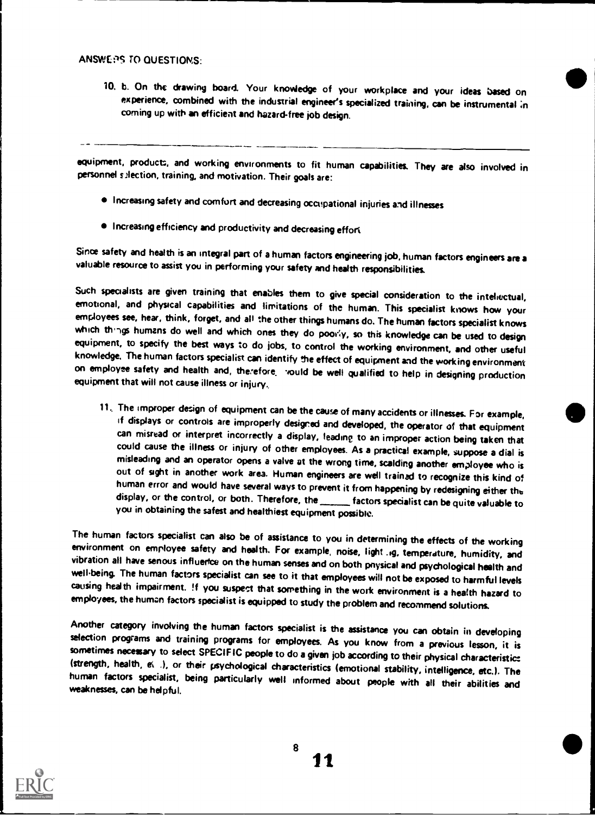#### ANSINEPS TO QUESTIONS:

10. b. On the drawing board. Your knoWedge of your workplace and your ideas based on experience, combined with the industrial engineer's specialized training, can be instrumental ;n coming up with an efficient and hazard-free job design.

equipment, products, and working environments to fit human capabilities. They are also involved in personnel s2lection, training, and motivation. Their goals are:

- Increasing safety and comfort and decreasing occupational injuries and illnesses
- Increasing efficiency and productivity and decreasing effort

Since safety and health is an integral part of a human factors engineering job, human factors engineers are a valuable resource to assist you in performing your safety and health responsibilities.

Such specialists are given training that enables them to give special consideration to the intellectual, emotional, and physical capabilities and limitations of the human. This specialist knows how your employees see, hear on employse safety and health and, therefore, yould be well qualified to help in designing production equipment that will not cause illness or iniury.

11. The improper design of equipment can be the cause of many accidents or illnesses. For example, if displays or controls are improperly designed and developed, the operator of that equipment can misread or interpret incorrectly a display, leading to an improper action being taken that<br>could cause the illness or injury of other employees. As a practical example, suppose a dial is<br>misleading and an operator open you in obtaining the safest and healthiest equipment possible.

The human factors specialist can also be of assistance to you in determining the effects of the working<br>environment on employee safety and health. For example, noise, light .g, temperature, humidity, and<br>vibration all have employees, the human factors specialist is equipped to study the problem and recommend solutions.

Another category involving the human factors specialist is the assistance you can obtain in developing selection programs and training programs for employees. As you know from a previous lesson, it is sometimes necessary t human factors specialist, being particularly well informed about people with all their abilities and

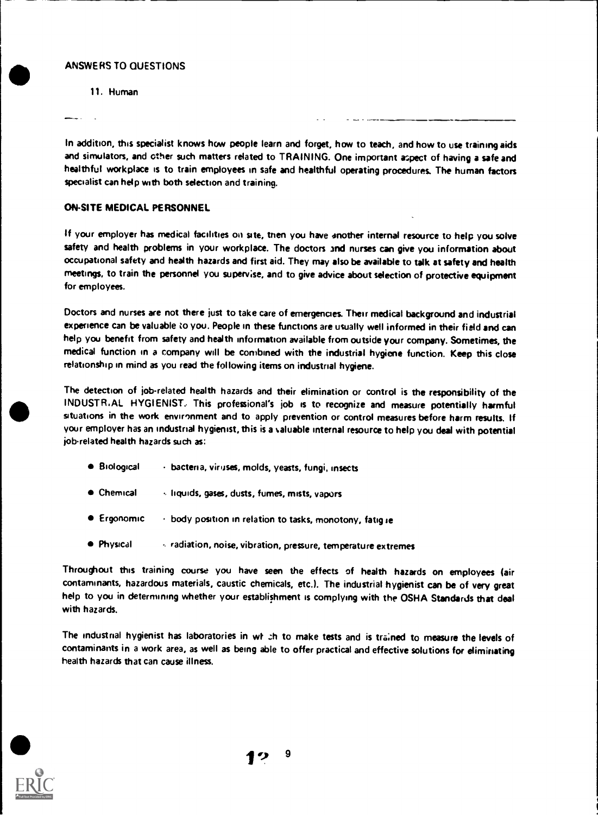11. Human

In addition, this specialist knows how people learn and forget, how to teach, and how to use training aids and simulators, and other such matters related to TRAINING. One important aspect of having a safe and healthful workplace is to train employees in safe and healthful operating procedures. The human factors specialist can help with both selection and training.

# ON-SITE MEDICAL PERSONNEL

If your employer has medical facilities on site, then you have another internal resource to help you solve safety and health problems in your workplace. The doctors and nurses can give you information about occupational safety and health hazards and first aid. They may also be available to talk at safety and health meetings, to train the personnel you supervise, and to give advice about selection of protective equipment for employees.

Doctors and nurses are not there just to take care of emergencies. Their medical background and industrial experience can be valuable to you. People in these functions are usually well informed in their field and can help you benefit from safety and health information available from outside your company. Sometimes, the medical function in a company will be combined with the industrial hygiene function. Keep this close relationship in mind as you read the following items on industrial hygiene.

The detection of job-related health hazards and their elimination or control is the responsibility of the INDUSTR.AL HYGIENIST: This professional's job is to recognize and measure potentially harmful situations in the work environment and to apply prevention or control measures before harm results. If your employer has an industrial hygienist, this is a valuable internal resource to help you deal with potential job-related health hazards such as:

- Biological bacteria, viruses, molds, yeasts, fungi, insects
- Chemical liquids, gases, dusts, fumes, mists, vapors
- Ergonomic  $\cdots$  body position in relation to tasks, monotony, fatig ie
- Physical , radiation, noise, vibration, pressure, temperature extremes

Throughout this training course you have seen the effects of health hazards on employees (air contaminants, hazardous materials, caustic chemicals, etc.). The industrial hygienist can be of very great help to you in determining whether your establishment is complying with the OSHA Standards that deal with hazards.

The industrial hygienist has laboratories in wt .:h to make tests and is trained to measure the levels of contaminants in a work area, as well as being able to offer practical and effective solutions for eliminating health hazards that can cause illness.

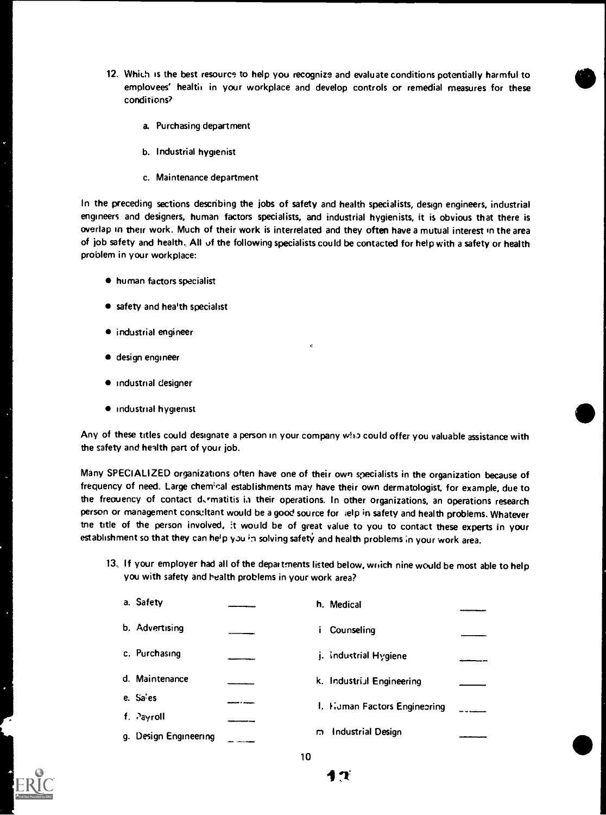- 12. Which is the best resource to help you recognize and evaluate conditions potentially harmful to emplovees' health in your workplace and develop controls or remedial measures for these conditions?
	- a. Purchasing department
	- b. Industrial hygienist
	- c. Maintenance department

In the preceding sections describing the jobs of safety and health specialists, design engineers, industrial engineers and designers, human factors specialists, and industrial hygienists, it is obvious that there is overlap in their work. Much of their work is interrelated and they often have a mutual interest in the area of job safety and health.. All of the following specialists could be contacted for help with a safety or health problem in your workplace:

- human factors specialist
- **•** safety and hea'th specialist
- industrial engineer
- design engineer
- **•** industrial designer
- $\bullet$  industrial hygienist

Any of these titles could designate a person in your company who could offer you valuable assistance with the safety and health part of your job.

Many SPECIALIZED organizations often have one of their own specialists in the organization because of frequency of need. Large chemical establishments may have their own dermatologist, for example, due to the frequency of contact d. matitis in their operations. In other organizations, an operations research person or management consultant would be a good source for  $+e$  ielp in safety and health problems. Whatever tne title of the person involved, it would be of great value to you to contact these experts in your establishment so that they can help you in solving safety and health problems in your work area.

13.. If your employer had all of the departments listed below, winch nine would be most able to help you with safety and health problems in your work area?

| a. Safety             |   | h. Medical                   |  |
|-----------------------|---|------------------------------|--|
| b. Advertising        |   | Counseling                   |  |
| c. Purchasing         |   | j. Industrial Hygiene        |  |
| d. Maintenance        |   | k. Industriul Engineering    |  |
| e. Sa'es              |   | I. Human Factors Engineering |  |
| f. Payroll            |   |                              |  |
| g. Design Engineering | m | Industrial Design            |  |



10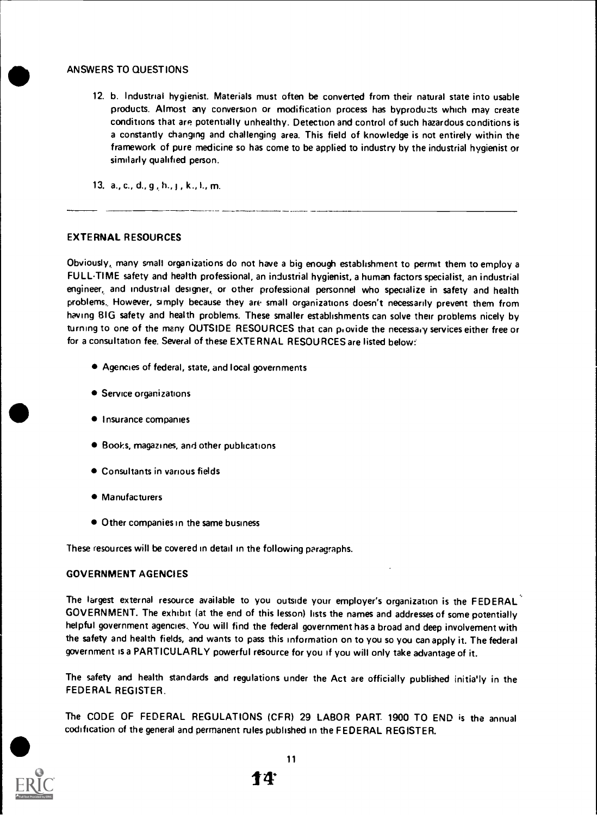12. b. Industrial hygienist. Materials must often be converted from their natural state into usable products. Almost any conversion or modification process has byproducts which may create conditions that are potentially unhealthy. Detection and control of such hazardous conditions is a constantly changing and challenging area. This field of knowledge is not entirely within the framework of pure medicine so has come to be applied to industry by the industrial hygienist or similarly qualified person.

13.  $a_{1}, c_{1}, d_{1}, g_{1}, h_{1}, g_{1}, k_{1}, k_{1}, m_{1}$ 

### EXTERNAL RESOURCES

Obviously, many small organizations do not have a big enough establishment to permit them to employ a FULLTIME safety and health professional, an industrial hygienist, a human factors specialist, an industrial engineer, and industrial designer, or other professional personnel who specialize in safety and health problems.. However, simply because they are small organizations doesn't necessarily prevent them from having BIG safety and health problems. These smaller establishments can solve their problems nicely by turning to one of the many OUTSIDE RESOURCES that can provide the necessary services either free or for a consultation fee. Several of these EXTERNAL RESOURCES are listed below:

- Agencies of federal, state, and local governments
- Service organizations
- **Insurance companies**
- Books, magazines, and other publications
- Consultants in various fields
- Manufacturers
- Other companies in the same business

These resources will be covered in detail in the following paragraphs.

### GOVERNMENT AGENCIES

The largest external resource available to you outside your employer's organization is the FEDERAL GOVERNMENT. The exhibit (at the end of this lesson) lists the names and addresses of some potentially helpful government agencies. You will find the federal government has a broad and deep involvement with the safety and health fields, and wants to pass this information on to you so you can apply it. The federal government is a PARTICULARLY powerful resource for you if you will only take advantage of it.

The safety and health standards and regulations under the Act are officially published initia'ly in the FEDERAL REGISTER.

The CODE OF FEDERAL REGULATIONS (CFR) 29 LABOR PART. 1900 TO END is the annual codification of the general and permanent rules published in the FEDERAL REGISTER.



11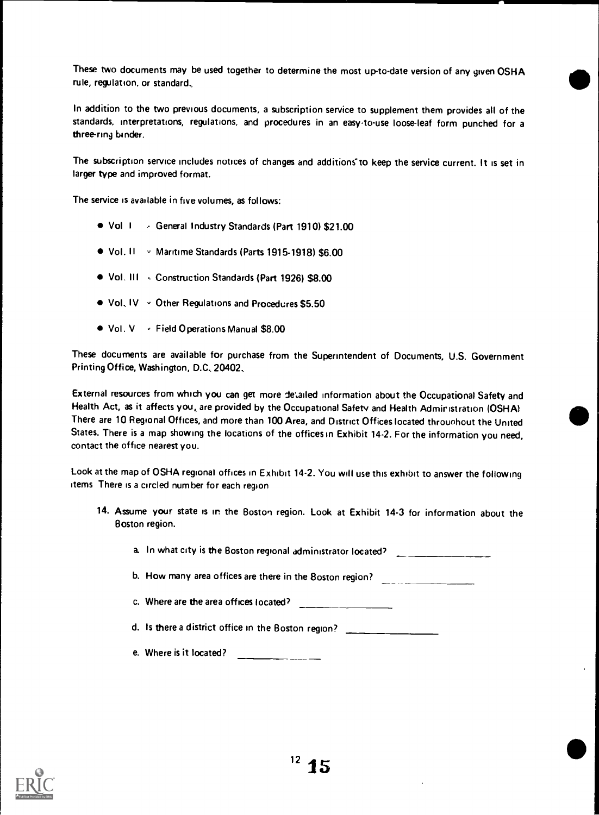These two documents may be used together to determine the most up-to-date version of any given OSHA rule, regulation, or standard..

In addition to the two previous documents, a subscription service to supplement them provides all of the standards, interpretations, regulations, and procedures in an easy-to-use loose-leaf form punched for <sup>a</sup> three-ring binder.

The subscription service includes notices of changes and additions to keep the service current. It is set in larger type and improved format.

The service is available in five volumes, as follows:

- Vol <sup>I</sup> General Industry Standards (Part 1910) \$21.00
- Vol. II Maritime Standards (Parts 1915-1918) \$6.00
- Vol. III Construction Standards (Part 1926) \$8.00
- Vol, IV Other Regulations and Procedures \$5.50
- Vol. V Field Operations Manual \$8.00

These documents are available for purchase from the Superintendent of Documents, U.S. Government Printing Office, Washington, D.C. 20402,

External resources from which you can get more detailed information about the Occupational Safety and Health Act, as it affects you, are provided by the Occupational Safety and Health Admir istration (OSHA) There are 10 Regional Offices, and more than 100 Area, and District Offices located throughout the United States. There is a map showing the locations of the offices in Exhibit 14-2. For the information you need, contact the office nearest you.

Look at the map of OSHA regional offices in Exhibit 14-2. You will use this exhibit to answer the following items There is a circled number for each region

14. Assume your state is in the Boston region. Look at Exhibit 14-3 for information about the Boston region.

a. In what city is the Boston regional administrator located?

b. How many area offices are there in the 8oston region?

c. Where are the area offices located?

d. Is there a district office in the Boston region?

e. Where is it located?

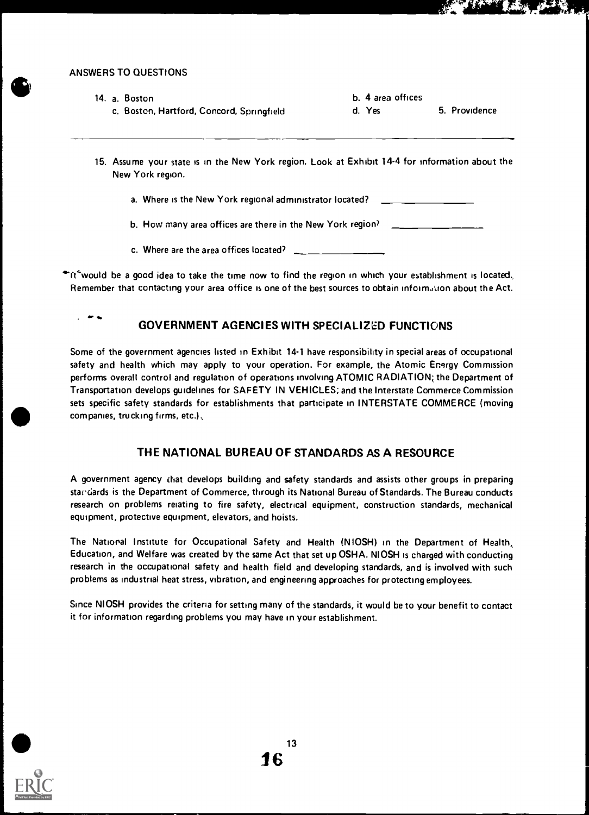| 14. a. Boston                             | b. 4 area offices       |  |
|-------------------------------------------|-------------------------|--|
| c. Boston, Hartford, Concord, Springfield | 5. Providence<br>d. Yes |  |
|                                           |                         |  |

- 15. Assume your state is in the New York region. Look at Exhibit 14-4 for information about the New York region.
	- a. Where is the New York regional administrator located?

b. How many area offices are there in the New York region?

c. Where are the area offices located?

 $\cdot$ it $\cdot$ would be a good idea to take the time now to find the region in which your establishment is located, Remember that contacting your area office is one of the best sources to obtain infoim,,Uon about the Act.

# GOVERNMENT AGENCIES WITH SPECIALIZED FUNCTIONS

Some of the government agencies listed in Exhibit 14-1 have responsibility in special areas of occupational safety and health which may apply to your operation. For example, the Atomic Energy Commission performs overall control and regulation of operations involving ATOMIC RADIATION; the Department of Transportation develops guidelines for SAFETY IN VEHICLES; and the Interstate Commerce Commission sets specific safety standards for establishments that participate in INTERSTATE COMMERCE (moving companies, trucking firms, etc.)

# THE NATIONAL BUREAU OF STANDARDS AS A RESOURCE

A government agency that develops building and safety standards and assists other groups in preparing standards is the Department of Commerce, through its National Bureau of Standards. The Bureau conducts research on problems relating to fire safety, electrical equipment, construction standards, mechanical equipment, protective equipment, elevators, and hoists.

The National Institute for Occupational Safety and Health (NIOSH) in the Department of Health, Education, and Welfare was created by the same Act that set up OSHA. NIOSH is charged with conducting research in the occupational safety and health field and developing standards, and is involved with such problems as industrial heat stress, vibration, and engineering approaches for protecting employees.

Since NIOSH provides the criteria for setting many of the standards, it would be to your benefit to contact it for information regarding problems you may have in your establishment.

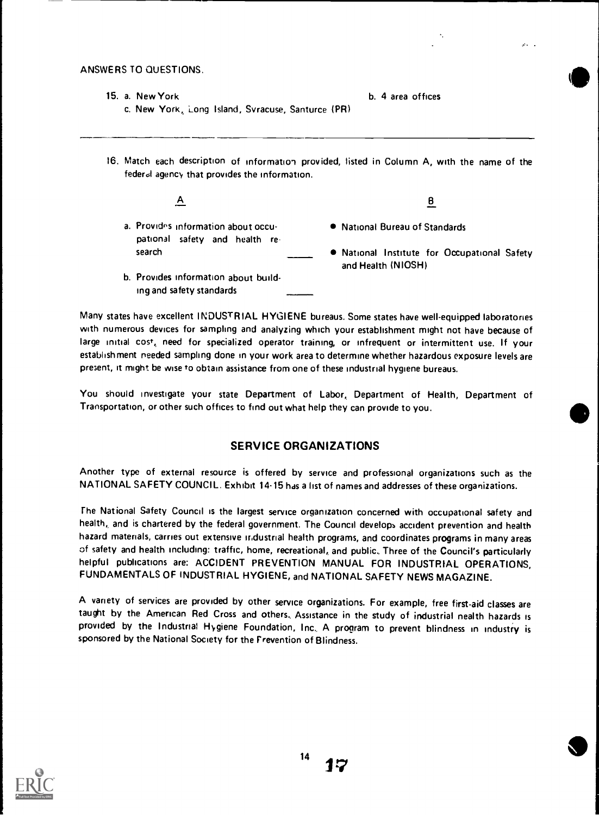# ANSWERS TO QUESTIONS. AND A RESERVE TO A LIMITED A RESERVE TO A LIMITED AND A LIMITED AND A LIMITED AND A LIMITED AND A LIMITED AND A LIMITED AND A LIMITED AND A LIMITED AND A LIMITED AND A LIMITED AND A LIMITED AND A LIMI

- 15. a. New York **b. 4 area offices** c. New York, Long Island, Syracuse, Santurce (PR)
- 16. Match each description of information provided, listed in Column A, with the name of the federal agency that provides the information.

| A |  |  |  |
|---|--|--|--|
|   |  |  |  |
|   |  |  |  |
|   |  |  |  |

- a. Provides information about occupational safety and health re search
- b. Provides information about building and safety standards

- National Bureau of Standards
- National Institute for Occupational Safety and Health (NIOSH)

B

Many states have excellent INDUSTRIAL HYGIENE bureaus. Some states have well-equipped laboratories with numerous devices for sampling and analyzing which your establishment might not have because of large initial cost, need for specialized operator training, or infrequent or intermittent use. If your establishment needed sampling done in your work area to determine whether hazardous exposure levels are present, it might be wise to obtain assistance from one of these industrial hygiene bureaus.

You should investigate your state Department of Labor, Department of Health, Department of Transportation, or other such offices to find out what help they can provide to you.

# SERVICE ORGANIZATIONS

Another type of external resource is offered by service and professional organizations such as the NATIONAL SAFETY COUNCIL. Exhibit 14-15 has a list of names and addresses of these organizations.

The National Safety Council is the largest service organization concerned with occupational safety and health, and is chartered by the federal government. The Council develops accident prevention and health hazard materials, carries out extensive industrial health programs, and coordinates programs in many areas of safety and health including: traffic, home, recreational, and public, Three of the Council's particularly helpful publications are: ACCIDENT PREVENTION MANUAL FOR INDUSTRIAL OPERATIONS, FUNDAMENTALS OF INDUSTRIAL HYGIENE, and NATIONAL SAFETY NEWS MAGAZINE.

A variety of services are provided by other service organizations. For example, free first-aid classes are taught by the American Red Cross and others., Assistance in the study of industrial nealth hazards is provided by the Industrial Hygiene Foundation, Inc, A program to prevent blindness in industry is sponsored by the National Society for the Prevention of Blindness.

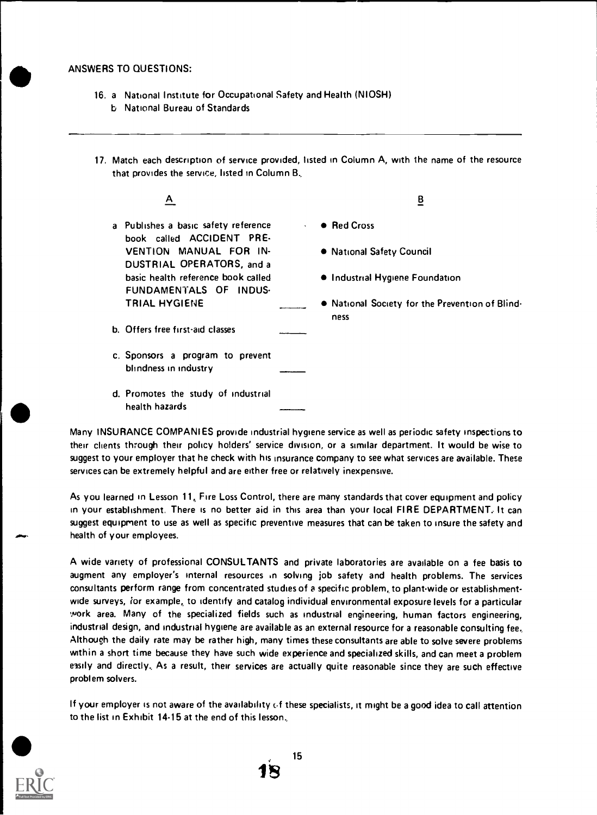- 16. a National Institute for Occupational Safety and Health (NIOSH)
	- b National Bureau of Standards
- 17. Match each description of service provided, listed in Column A, with the name of the resource that provides the service, listed in Column B.

| Α                                                                           | в                                                       |
|-----------------------------------------------------------------------------|---------------------------------------------------------|
| a Publishes a basic safety reference<br>$\sim$<br>book called ACCIDENT PRE- | • Red Cross                                             |
| VENTION MANUAL FOR IN-<br>DUSTRIAL OPERATORS, and a                         | • National Safety Council                               |
| basic health reference book called<br>FUNDAMENTALS OF INDUS-                | • Industrial Hygiene Foundation                         |
| <b>TRIAL HYGIENE</b>                                                        | • National Society for the Prevention of Blind-<br>ness |
| b. Offers free first-aid classes                                            |                                                         |
| c. Sponsors a program to prevent<br>blindness in industry                   |                                                         |

d. Promotes the study of industrial health hazards

Many INSURANCE COMPANIES provide industrial hygiene service as well as periodic safety inspections to their clients through their policy holders' service division, or a similar department. It would be wise to suggest to your employer that he check with his insurance company to see what services are available. These services can be extremely helpful and are either free or relatively inexpensive.

As you learned in Lesson 11, Fire Loss Control, there are many standards that cover equipment and policy in your establishment. There is no better aid in this area than your local FIRE DEPARTMENT, It can suggest equipment to use as well as specific preventive measures that can be taken to insure the safety and health of your employees.

A wide variety of professional CONSULTANTS and private laboratories are available on a fee basis to augment any employer's internal resources in solving job safety and health problems. The services consultants perform range from concentrated studies of a specific problem, to plant-wide or establishmentwide surveys, for example,, to identify and catalog individual environmental exposure levels for a particular Work area. Many of the specialized fields such as industrial engineering, human factors engineering, industrial design, and industrial hygiene are available as an external resource for a reasonable consulting fee, Although the daily rate may be rather high, many times these consultants are able to solve severe problems within a short time because they have such wide experience and specialized skills, and can meet a problem easily and directly. As a result, their services are actually quite reasonable since they are such effective problem solvers.

If your employer is not aware of the availability cf these specialists, it might be a good idea to call attention to the list in Exhibit 14-15 at the end of this lesson,



OW,

15 S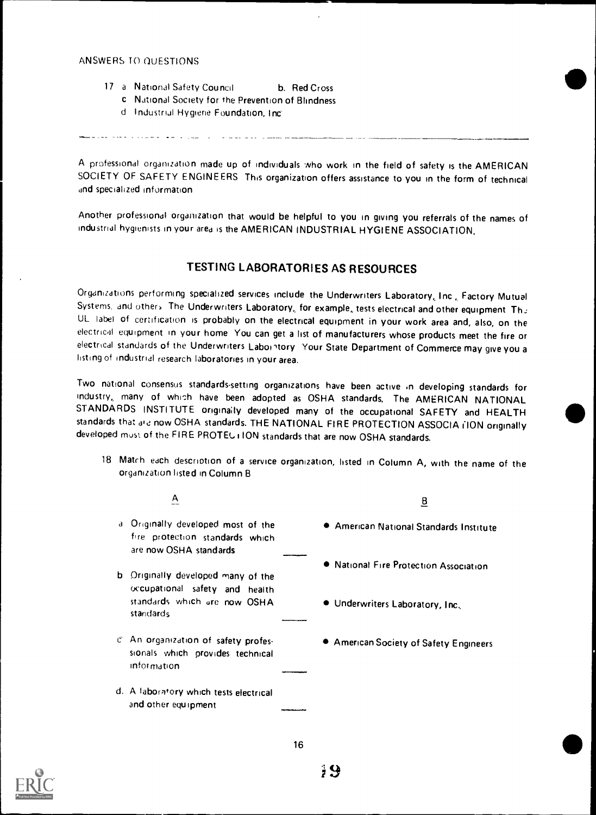information

d. A laboratory which tests electrical

and other equipment

- 17 a National Safety Council b. Red Cross
	- c National Society for the Prevention of Blindness
	- d Industrial Hygiene Foundation, Inc-

A professional organization made up of individuals who work in the field of safety is the AMERICAN SOCIETY OF SAFETY ENGINEERS This organization offers assistance to you in the form of technical and specialized information

Another professional organization that would be helpful to you in giving you referrals of the names of industrial hygienists in your area is the AMERICAN INDUSTRIAL HYGIENE ASSOCIATION.

# TESTING LABORATORIES AS RESOURCES

Organizations performing specialized services include the Underwriters Laboratory, Inc., Factory Mutual<br>Systems, and others. The Underwriters Laboratory, for example, tests electrical and other equipment. Thu UL label of certification is probably on the electrical equipment in your work area and, also, on the electrical equipment in your home You can get a list of manufacturers whose products meet the fire or electrical standards of the Underwriters Labointory Your State Department of Commerce may give you a listing of industrial research laboratories in your area.

Two national consensus standards-setting organizations have been active in developing standards for industry, many of which have been adopted as OSHA standards. The AMERICAN NATIONAL STANDARDS INSTITUTE originally developed many of the occupational SAFETY and HEALTH standards that are now OSHA standards. THE NATIONAL FIRE PROTECTION ASSOCIA (ION originally developed must of the FIRE PROTEU i ION standards that are now OSHA standards.

18 Matrh each description of a service organization, listed in Column A, with the name of the organization listed in Column El

| A                                                                                               | <u>ខ</u>                                |
|-------------------------------------------------------------------------------------------------|-----------------------------------------|
| a Originally developed most of the<br>fire protection standards which<br>are now OSHA standards | ● American National Standards Institute |
| b Originally developed many of the                                                              | • National Fire Protection Association  |
| occupational safety and health<br>standards which are now OSHA<br>standards                     | . Underwriters Laboratory, Inc.         |
| cil An organization of safety profes-<br>sionals which provides technical                       | American Society of Safety Engineers    |

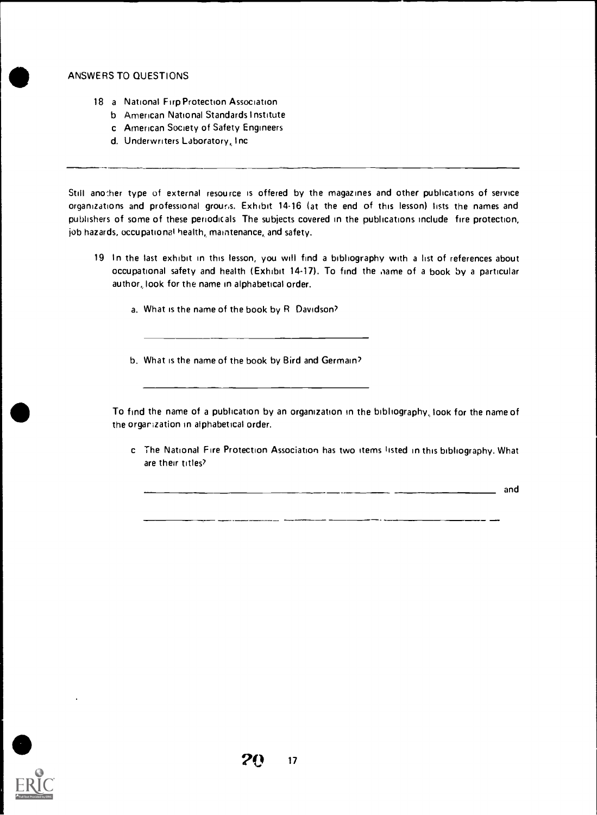- 18 a National Firp Protection Association
	- b American National Standards Institute
	- c American Society of Safety Engineers
	- d. Underwriters Laboratory, Inc

Still another type of external resource is offered by the magazines and other publications of service organizations and professional grouris. Exhibit 14-16 (at the end of this lesson) lists the names and publishers of some of these periodicals The subjects covered in the publications include fire protection, job hazards, occupational health, maintenance, and safety.

- 19 In the last exhibit in this lesson, you will find a bibliography with a list of references about occupational safety and health (Exhibit 14-17). To find the iiame of a book by a particular author, look for the name in alphabetical order.
	- a. What is the name of the book by R. Davidson?
	- b. What is the name of the book by Bird and Germain?

To find the name of a publication by an organization in the bibliography, look for the name of the orgarization in alphabetical order.

c The National Fire Protection Association has two items listed in this bibliography. What are their titles?

 $\overline{\phantom{a}}$  and  $\overline{\phantom{a}}$  and  $\overline{\phantom{a}}$ 

 $\overline{a}$ 

——. . . . . .

and

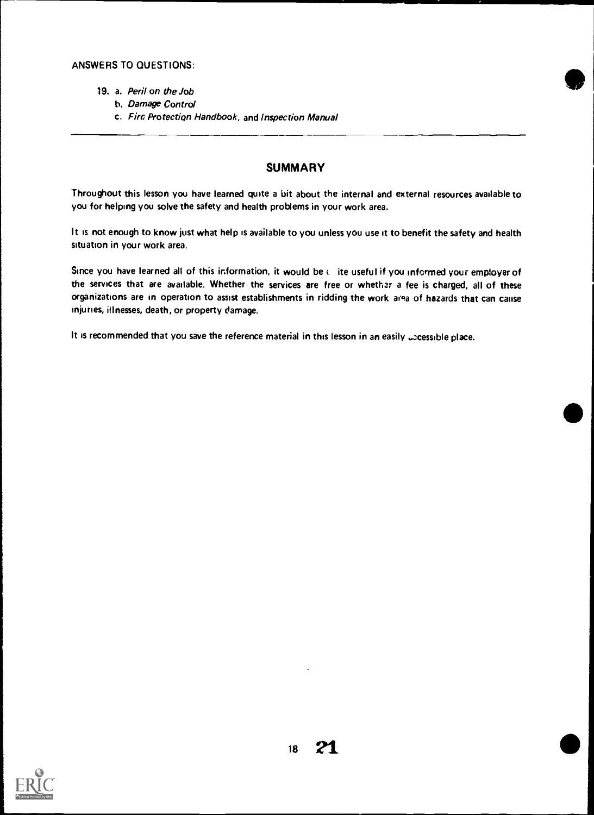- 19. a. Peril on the Job
	- h. Damage Control
	- c. Fire Protection Handbook, and Inspection Manual

# **SUMMARY**

Throughout this lesson you have learned quite a bit about the internal and external resources available to you for helping you solve the safety and health problems in your work area.

It is not enough to know just what help is available to you unless you use it to benefit the safety and health situation in your work area.

Since you have learned all of this information, it would be ( ite useful if you informed your employer of the services that are available. Whether the services are free or whether a fee is charged, all of these organizations are in operation to assist establishments in ridding the work area of hazards that can cause injuries, illnesses, death, or property damage.

It is recommended that you save the reference material in this lesson in an easily accessible place.

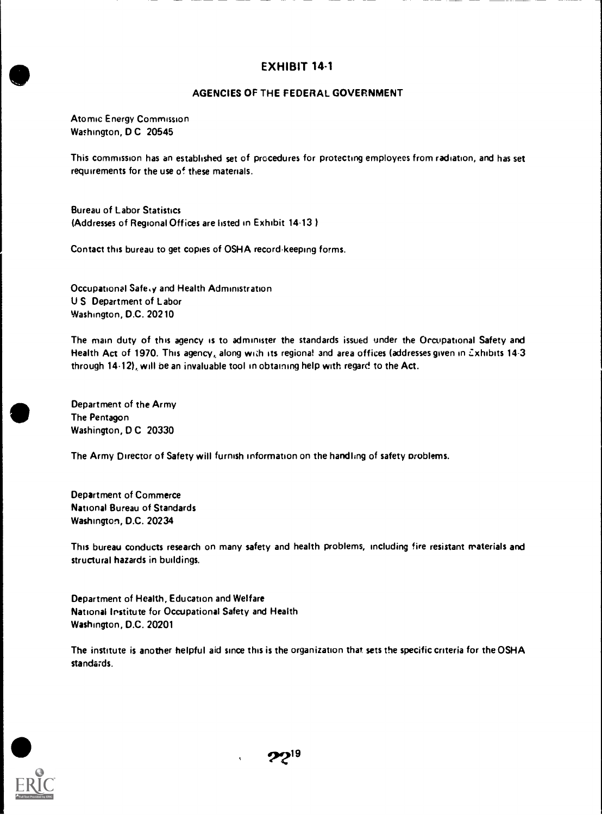# en and the state of the state of the state of the state of the state of the state of the state of the state of the state of the state of the state of the state of the state of the state of the state of the state of the sta AGENCIES OF THE FEDERAL GOVERNMENT

Atomic Energy Commission Washington, D C 20545

This commission has an established set of procedures for protecting employees from radiation, and has set requirements for the use of these materials.

Bureau of Labor Statistics (Addresses of Regional Offices are listed in Exhibit 14-13).

Contact this bureau to get copies of OSHA record-keeping forms.

Occupational Safe<sub>sy</sub> and Health Administration U S Department of Labor Washington, D.C. 20210

The main duty of this agency is to administer the standards issued under the Occupational Safety and Health Act of 1970. This agency, along with its regional and area offices (addresses given in Exhibits 14-3 through 14-12), will be an invaluable tool in obtaining help with regard to the Act.

Department of the Army The Pentagon Washington, D C 20330

The Army Director of Safety will furnish information on the handling of safety problems.

Department of Commerce National Bureau of Standards Washington, D.C. 20234

This bureau conducts research on many safety and health problems, including fire resistant materials and structural hazards in buildings.

Department of Health, Education and Welfare National Institute for Occupational Safety and Health Washington, D.C. 20201

The institute is another helpful aid since this is the organization that sets the specific criteria for the OSHA standards.



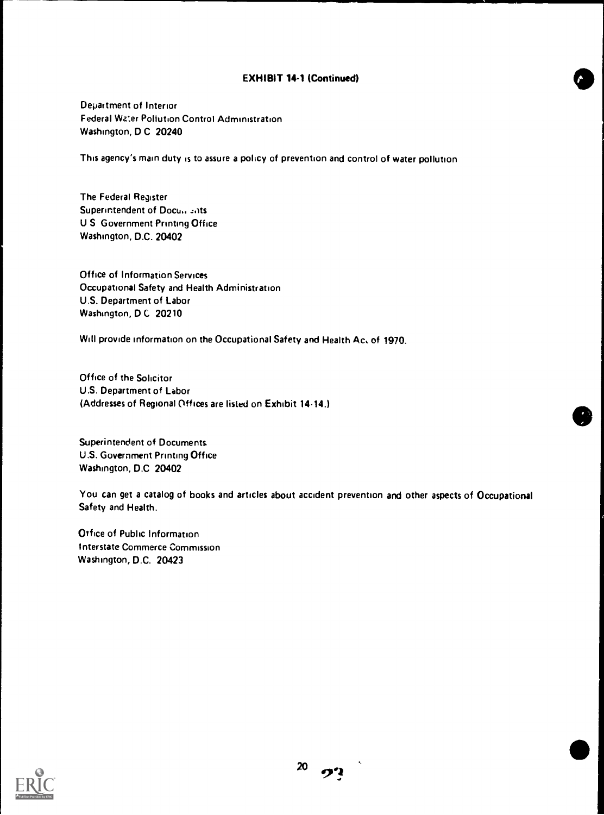# EXHIBIT 14.1 (Continued)

Department of Interior Federal Water Pollution Control Administration Washington, D C 20240

This agency's main duty is to assure a policy of prevention and control of water pollution

The Federal Register Superintendent of Documbrits U S Government Printing Office Washington, D.C. 20402

Office of Information Services Occupational Safety and Health Administration U.S. Department of Labor Washington, D C 20210

Will provide information on the Occupational Safety and Health Ac. of 1970.

Office of the Solicitor U.S. Department of Labor (Addresses of Regional Offices are listed on Exhibit 1414.)

Superintendent of Documents U.S. Government Printing Office Washington, D.C. 20402

You can get a catalog of books and articles about accident prevention and other aspects of Occupational Safety and Health.

Office of Public Information Interstate Commerce Commission Washington, D.C. 20423

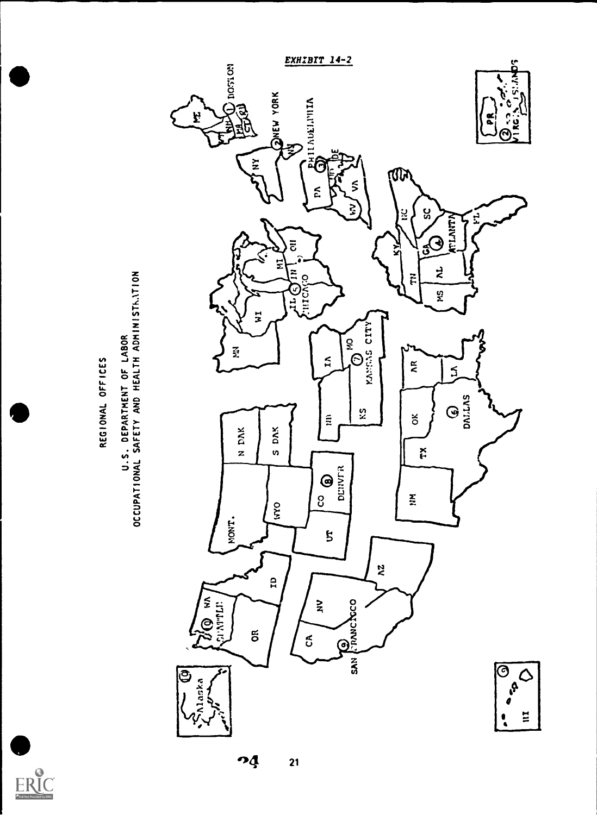

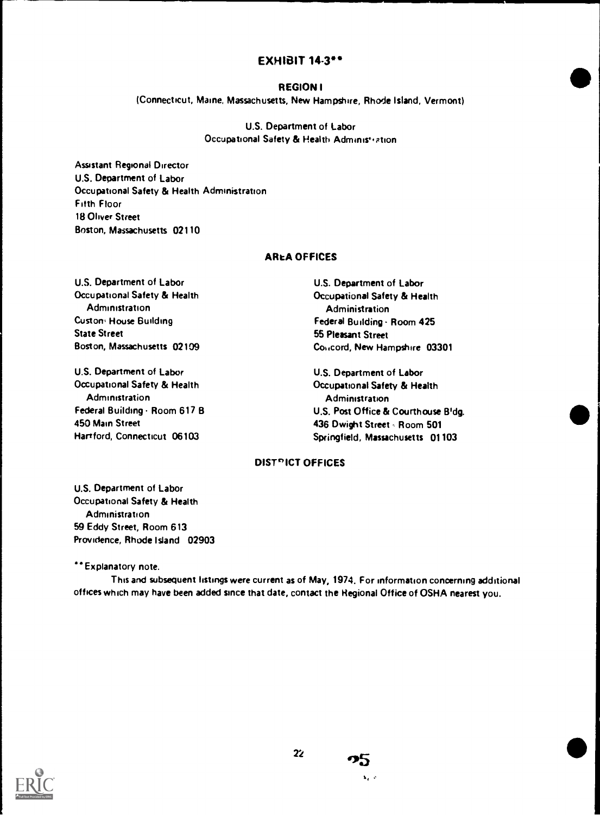# EXHIBIT 14.3"

#### REGION I

(Connecticut, Maine, Massachusetts, New Hampshire, Rhode Island, Vermont)

U.S. Department of Labor Occupational Safety & Health Administration

Assistant Regional Director U.S. Department of Labor Occupational Safety & Health Administration Filth Floor 18 Oliver Street Boston, Massachusetts 02110

# **AREA OFFICES**

U.S. Department of Labor Occupational Safety & Health **Administration** Custom House Building State Street Boston, Massachusetts 02109

U.S. Department of Labor Occupational Safety & Health **Administration** Federal Building . Room 617 B 450 Main Street Hartford, Connecticut 06103

U.S. Department of Labor Occupational Safety & Health **Administration** Federal Building. Room 425 55 Pleasant Street Cok.cord, New Hampshire 03301

U.S. Department of Labor Occupational Safety & Health Administration U.S. Post Office & Courthouse B'dg. 436 Dwight Street - Room 501 Springfield, Massachusetts 01103

# DIST<sup>P</sup>ICT OFFICES

U.S. Department of Labor Occupational Safety & Health Administration 59 Eddy Street, Room 613 Providence, Rhode Island 02903

\*\* Explanatory note.

This and subsequent listings were current as of May, 1974. For information concerning additional offices which may have been added since that date, contact the Regional Office of OSHA nearest you.



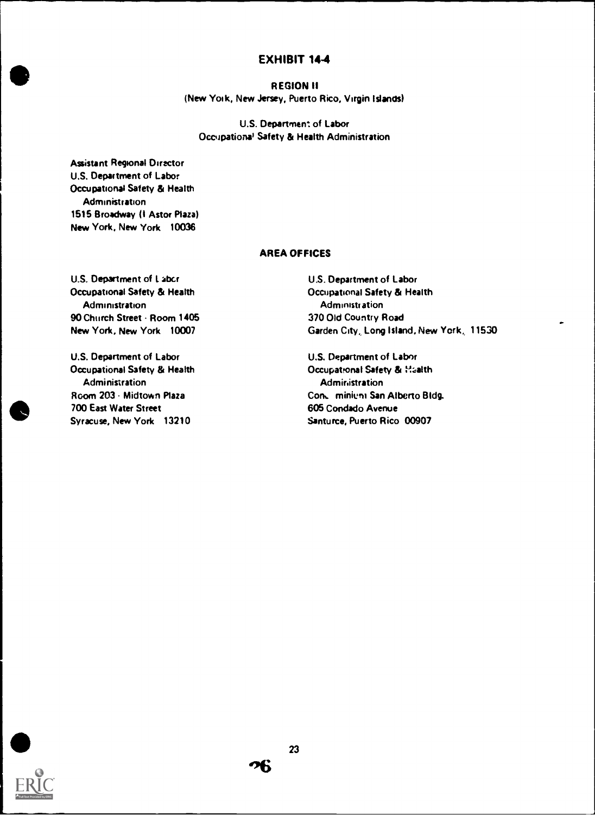### REGION!!

(New York, New Jersey, Puerto Rico, Virgin Islands)

U.S. Department of Labor Occupational Safety & Health Administration

Assistant Regional Diractor U.S. Department of Labor Occupational Safety & Health **Administration** 1515 Broadway (I Astor Plaza) New York, New York 10036

# AREA OFFICES

U.S. Department of I. abcr Occupational Safety & Health Administration 90 Church Street - Room 1405 New York, New York 10007

U.S. Department of Labor Occupational Safety & Health Administration Room 203 Midtown Plaza 700 East Water Street Syracuse, New York 13210

U.S. Department of Labor Occupational Safety & Health **Administration** 370 Old Country Road Garden City, Long Island, New York, 11530

U.S. Department of Labor Occupational Safety & Haalth Administration Cont. minieni San Alberto Bldg. 605 Condado Avenue Santurce, Puerto Rico 00907



06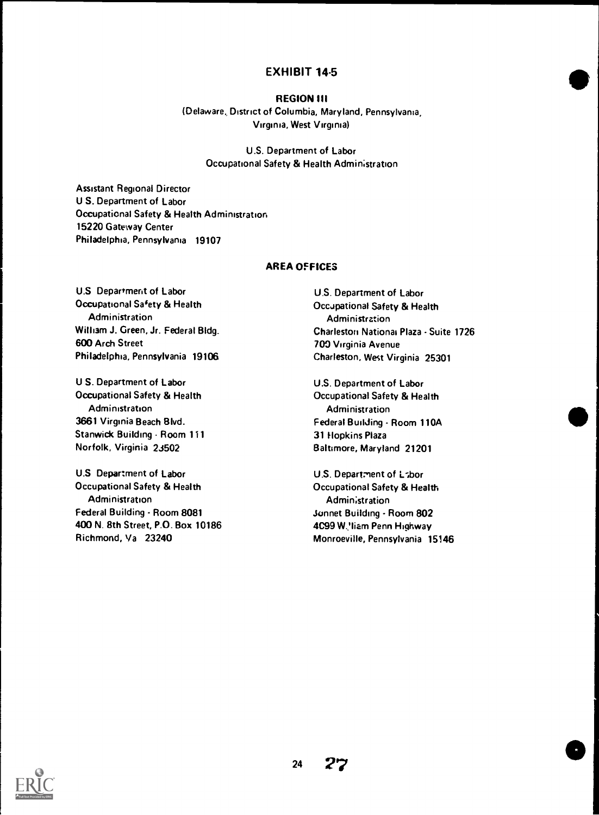#### REGION III

(Delaware, District of Columbia, Maryland, Pennsylvania, Virginia, West Virginia)

> U.S. Department of Labor Occupational Safety & Health Administration

Assistant Regional Director U S. Department of Labor Occupational Safety & Health Administration 15220 Gateway Center Philadelphia, Pennsylvania 19107

# AREA OFFICES

U.S Department of Labor Occupational Safety & Health Administration William J. Green, Jr. Federal Bldg. 600 Arch Street Philadelphia, Pennsylvania 19106

U S. Department of Labor Occupational Safety & Health **Administration** 3661 Virginia Beach Blvd. Stanwick Building - Room 111 Norfolk, Virginia 23502

U.S Department of Labor Occupational Safety & Health **Administration** Federal Building - Room 8081 400 N. 8th Street, P.O. Box 10186 Richmond, Va 23240

U.S. Department of Labor Occupational Safety & Health Administration Charleston National Plaza - Suite 1726 700 Virginia Avenue Charleston, West Virginia 25301

 $\bullet$ 

e

U.S. Department of Labor Occupational Safety & Health Administration Federal Building - Room 110A 31 Hopkins Plaza Baltimore, Maryland 21201

U.S. Department of Labor Occupational Safety & Health Administration Sonnet Building - Room 802 4C99 W.liam Penn Highway Monroeville, Pennsylvania 15146

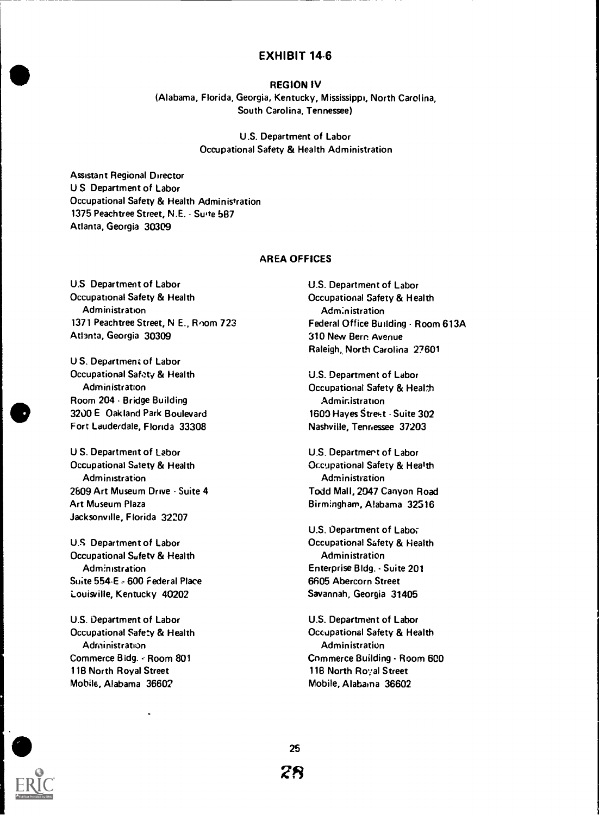#### REGION IV

(Alabama, Florida, Georgia, Kentucky, Mississippi, North Carolina, South Carolina, Tennessee)

> U.S. Department of Labor Occupational Safety & Health Administration

Assistant Regional Director U S Department of Labor Occupational Safety & Health Administration 1375 Peachtree Street, N.E. Suite 587 Atlanta, Georgia 30309

#### AREA OFFICES

U.S Department of Labor Occupational Safety & Health Administration 1371 Peachtree Street, N E., Room 723 Atlanta, Georgia 30309

U S. Department of Labor Occupational Safety & Health Administration Room 204 - Bridge Building 3200 E Oakland Park Boulevard Fort Lauderdale, Florida 33308

U S. Department of Labor Occupational Satety & Health **Administration** 2809 Art Museum Drive - Suite 4 Art Museum Plaza Jacksonville, Florida 32207

U.S Department of Labor Occupational Safety & Health Administration Suite 554-E , 600 Federal Place Louisville, Kentucky 40202

U.S. Department of Labor Occupational Safety & Health Administration Commerce Bldg. - Room 801 118 North Royal Street Mobile, Alabama 36602

U.S. Department of Labor Occupational Safety & Health Administration Federal Office Building - Room 613A 310 New Bern. Avenue Raleigh,, North Carolina 27601

U.S. Department of Labor Occupational Safety & Health Administration 1600 Hayes Street - Suite 302 Nashville, Tennessee 37203

U.S. Department of Labor Occupational Safety & Health Administration Todd Mall, 2047 Canyon Road Birmingham, Alabama 32516

U.S. Department of Labor Occupational Safety & Health Administration Enterprise Bldg. - Suite 201 6605 Abercorn Street Savannah, Georgia 31405

U.S. Department of Labor Occupational Safety & Health Administration Commerce Building - Room 600 118 North Royal Street Mobile, Alabama 36602



25 28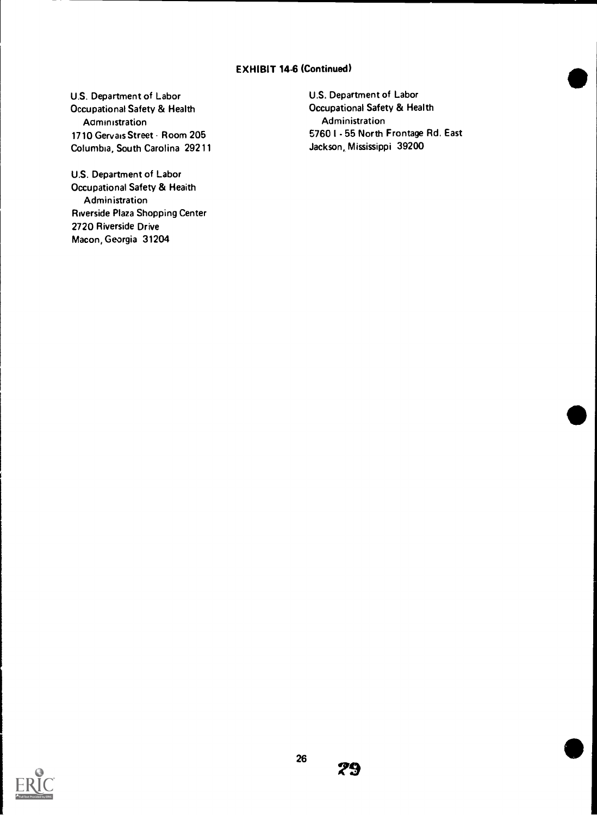# EXHIBIT 14-6 (Continued)

U.S. Department of Labor Occupational Safety & Health Administration 1710 Gervais Street - Room 205 Columbia, South Carolina 29211

U.S. Department of Labor Occupational Safety & Health Administration Riverside Plaza Shopping Center 2720 Riverside Drive Macon, Georgia 31204

U.S. Department of Labor Occupational Safety & Health Administration 5760 I 55 North Frontage Rd. East Jackson, Mississippi 39200

 $\bullet$ 

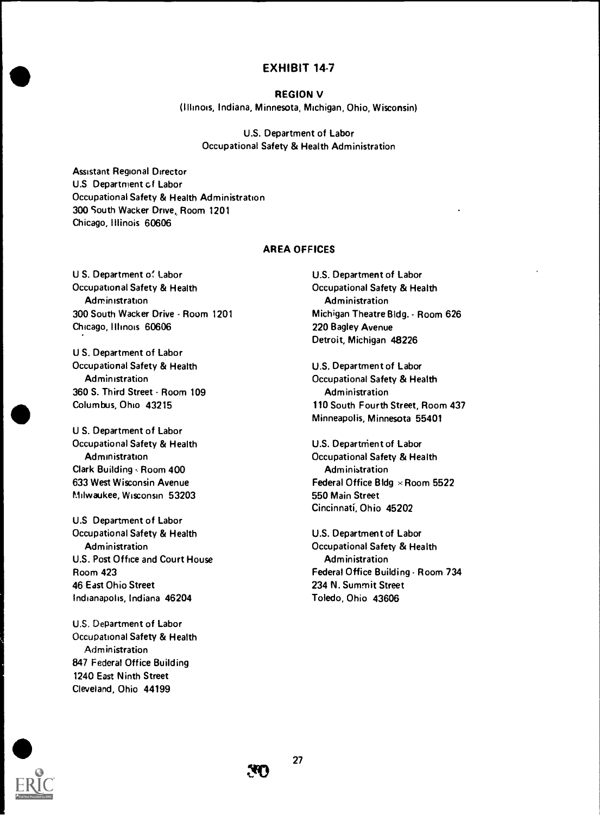#### REGION V

(Illinois, Indiana, Minnesota, Michigan, Ohio, Wisconsin)

U.S. Department of Labor Occupational Safety & Health Administration

Assistant Regional Director U.S Department cf Labor Occupational Safety & Health Administration 300 South Wacker Drive, Room 1201 Chicago, Illinois 60606

#### AREA OFFICES

U S. Department of Labor Occupational Safety & Health **Administration** 300 South Wacker Drive - Room 1201 Chicago, Illinois 60606

U S. Department of Labor Occupational Safety & Health **Administration** 360 S. Third Street - Room 109 Columbus, Ohio 43215

U S. Department of Labor Occupational Safety & Health Administration Clark Building - Room 400 633 West Wisconsin Avenue P.Iilwaukee, Wisconsin 53203

U.S Department of Labor Occupational Safety & Health Administration U.S. Post Office and Court House Room 423 46 East Ohio Street Indianapolis, Indiana 46204

U.S. Department of Labor Occupational Safety & Health Administration 847 Federal Office Building 1240 East Ninth Street Cleveland, Ohio 44199

U.S. Department of Labor Occupational Safety & Health Administration Michigan Theatre Bldg. - Room 626 220 Bagley Avenue Detroit, Michigan 48226

U.S. Department of Labor Occupational Safety & Health Administration 110 South Fourth Street, Room 437 Minneapolis, Minnesota 55401

U.S. Department of Labor Occupational Safety & Health Administration Federal Office Bldg - Room 5522 550 Main Street Cincinnati, Ohio 45202

U.S. Department of Labor Occupational Safety & Health Administration Federal Office Building . Room 734 234 N. Summit Street Toledo, Ohio 43606

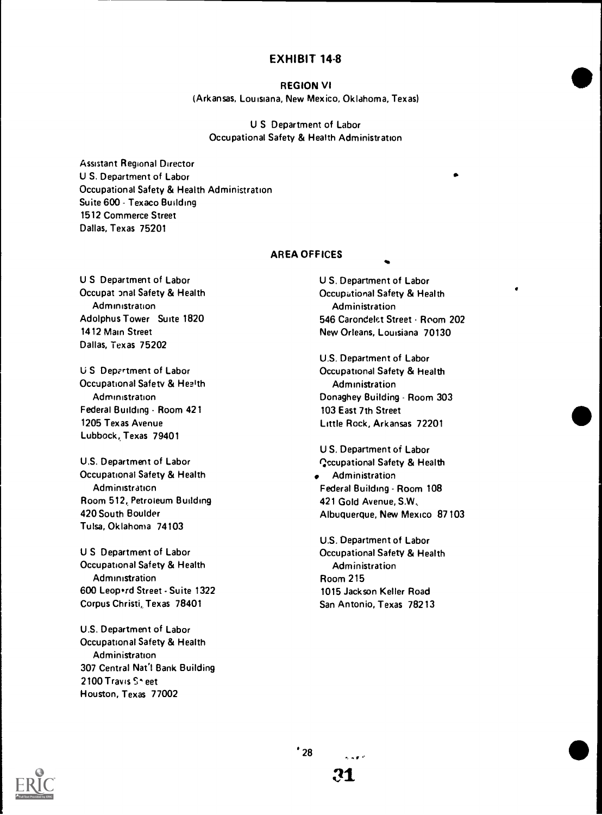#### REGION VI

(Arkansas, Louisiana, New Mexico, Oklahoma, Texas)

# U S Department of Labor Occupational Safety & Health Administration

Assistant Regional Director U S. Department of Labor Occupational Safety & Health Administration Suite 600 - Texaco Building 1512 Commerce Street Dallas, Texas 75201

# AREA OFFICES

U S Department of Labor Occupat onal Safety & Health **Administration** Adolphus Tower Suite 1820 1412 Main Street Dallas, Texas 75202

U S Department of Labor Occupational Safety & Health **Administration** Federal Building - Room 421 1205 Texas Avenue Lubbock, Texas 79401

U.S. Department of Labor Occupational Safety & Health **Administration** Room 512, Petroleum Building 420 South Boulder Tulsa, Oklahoma 74103

U S Department of Labor Occupational Safety & Health Administration 600 Leop · rd Street - Suite 1322 Corpus Christi, Texas 78401

U.S. Department of Labor Occupational Safety & Health Administration 307 Central Nat'l Bank Building 2100 Travis S<sup>\*</sup> eet Houston, Texas 77002

U S. Department of Labor Occupational Safety & Health Administration 546 Carondelet Street - Room 202 New Orleans, Louisiana 70130

U.S. Department of Labor Occupational Safety & Health Administration Donaghey Building - Room 303 103 East 7th Street Little Rock, Arkansas 72201

U S. Department of Labor Qccupational Safety & Health Administration Federal Building - Room 108 421 Gold Avenue, SW, Albuquerque, New Mexico 87103

U.S. Department of Labor Occupational Safety & Health Administration Room 215 1015 Jackson Keller Road San Antonio, Texas 78213

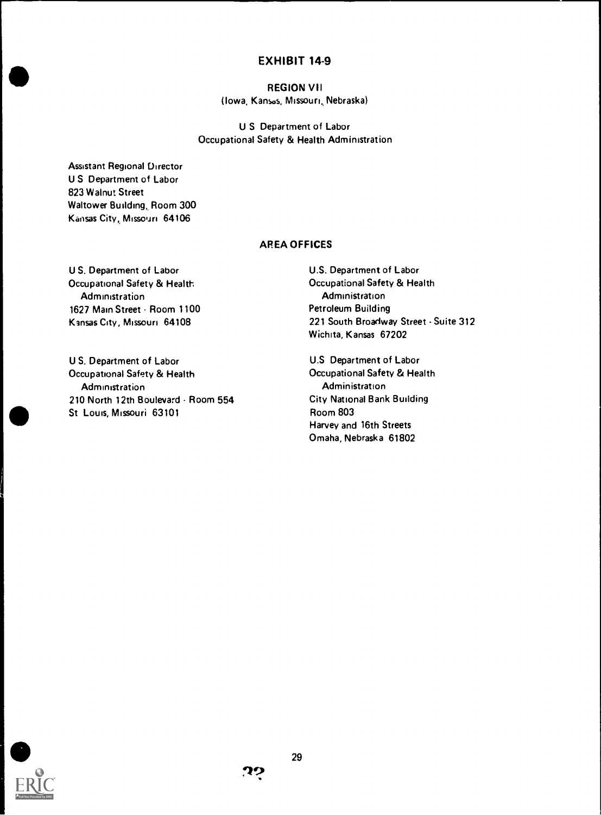# REGION VII (Iowa, Kansas, Missouri, Nebraska)

U S Department of Labor Occupational Safety & Health Administration

Assistant Regional Director U S Department of Labor 823 Walnut Street Waltower Budding, Room 300 Kansas City, Missouri 64106

#### AREA OFFICES

U S. Department of Labor Occupational Safety & Health **Administration** 1627 Main Street - Room 1100 Kansas City, Missouri 64108

U S. Department of Labor Occupational Safety & Health **Administration** 210 North 12th Boulevard - Room 554 St Lows, Missouri 63101

U.S. Department of Labor Occupational Safety & Health Administration Petroleum Building 221 South Broadway Street - Suite 312 Wichita, Kansas 67202

U.S Department of Labor Occupational Safety & Health Administration City National Bank Building Room 803 Harvey and 16th Streets Omaha, Nebraska 61802

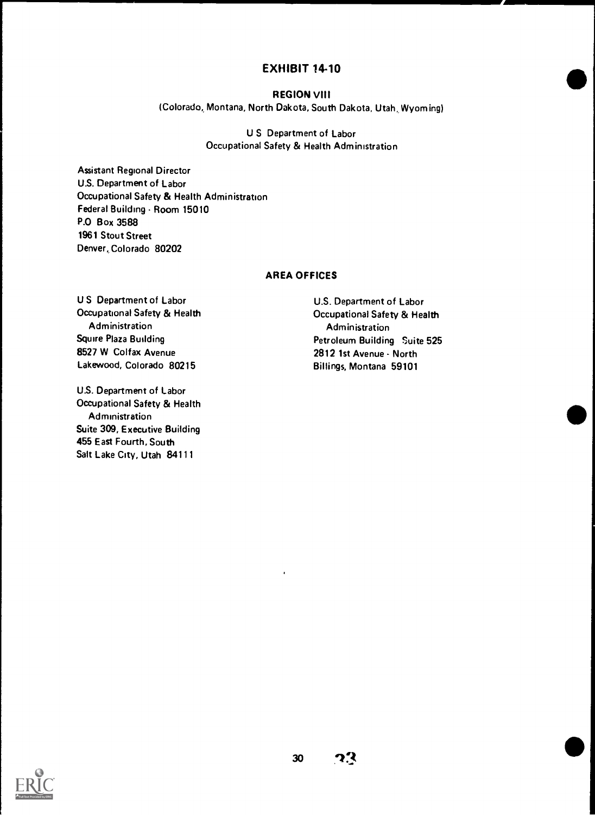# REGION VIII

(Colorado, Montana, North Dakota, South Dakota, Utah, Wyoming)

U S Department of Labor Occupational Safety & Health Administration

Assistant Regional Director U.S. Department of Labor Occupational Safety & Health Administration Federal Building - Room 15010 P.0 Box 3588 1961 Stout Street Denver, Colorado 80202

# AREA OFFICES

U S Department of Labor Occupational Safety & Health Administration Squire Plaza Building 8527 W Colfax Avenue Lakewood, Colorado 80215

U.S. Department of Labor Occupational Safety & Health Administration Suite 309, Executive Building 455 East Fourth, South Salt Lake City, Utah 84111

U.S. Department of Labor Occupational Safety & Health Administration Petroleum Building Suite 525 2812 1st Avenue - North Billings, Montana 59101

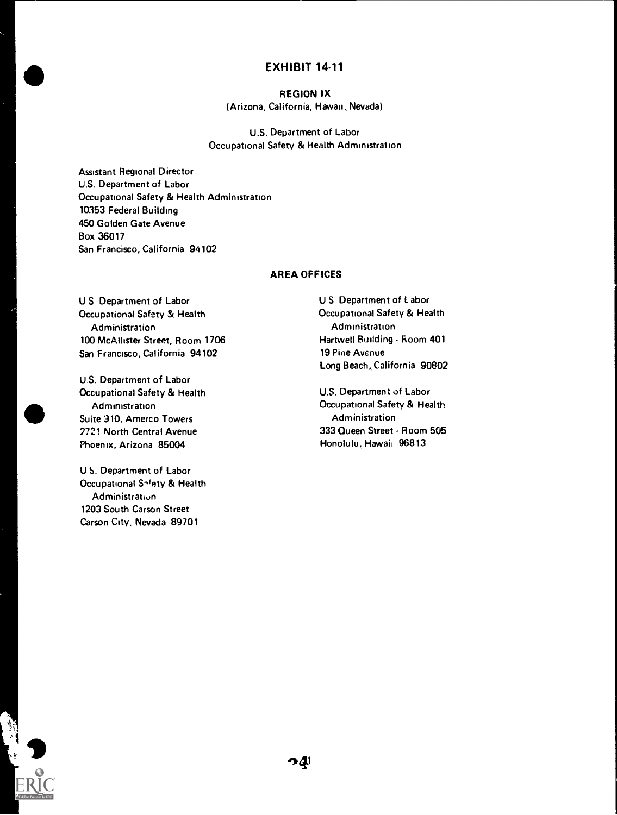REGION IX (Arizona, California, Hawaii, Nevada)

U.S. Department of Labor Occupational Safety & Health Administration

Assistant Regional Director U.S. Department of Labor Occupational Safety & Health Administration 10353 Federal Building 450 Golden Gate Avenue Box 36017 San Francisco, California 94102

# AREA OFFICES

U S Department of Labor Occupational Safety & Health Administration 100 McAllister Street, Room 1706 San Francisco, California 94102

U.S. Department of Labor Occupational Safety & Health **Administration** Suite 310, Amerco Towers 7721 North Central Avenue Phoenix, Arizona 85004

U S. Department of Labor Occupational Snfety & Health Administratiun 1203 South Carson Street Carson City, Nevada 89701

 $\bullet$ 

U S Department of Labor Occupational Safety & Health Administration Hartwell Building - Room 401 19 Pine Avenue Long Beach, California 90802

U.S. Department of Labor Occupational Safety & Health **Administration** 333 Queen Street - Room 505 Honolulu, Hawaii 96813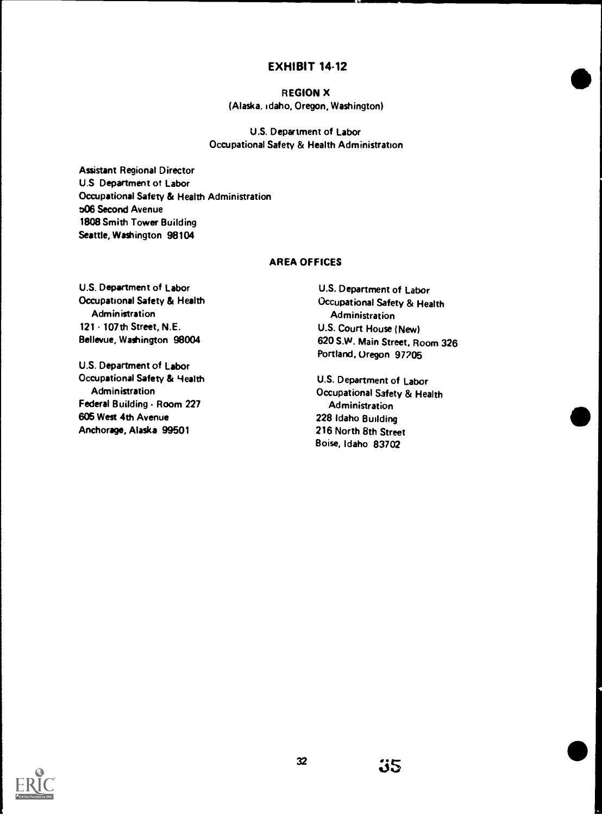# REGION X (Alaska. Idaho, Oregon, Washington)

U.S. Department of Labor Occupational Safety & Health Administration

Assistant Regional Director U.S Department of Labor Occupational Safety & Health Administration 506 Second Avenue 1808 Smith Tower Building Seattle, Washington 98104

#### AREA OFFICES

U.S. Department of Labor Occupational Safety & Health Administration 121 107th Street, N.E. Bellevue, Washington 98004

U.S. Department of Labor Occupational Safety & Health Administration Federal Building - Room 227 605 West 4th Avenue Anchorage, Alaska 99501

U.S. Department of Labor Occupational Safety & Health Administration U.S. Court House (New) 620 S.W. Main Street, Room 326 Portland, Oregon 97705

U.S. Department of Labor Occupational Safety & Health Administration 228 Idaho Building 216 North 8th Street Boise, Idaho 83702

35

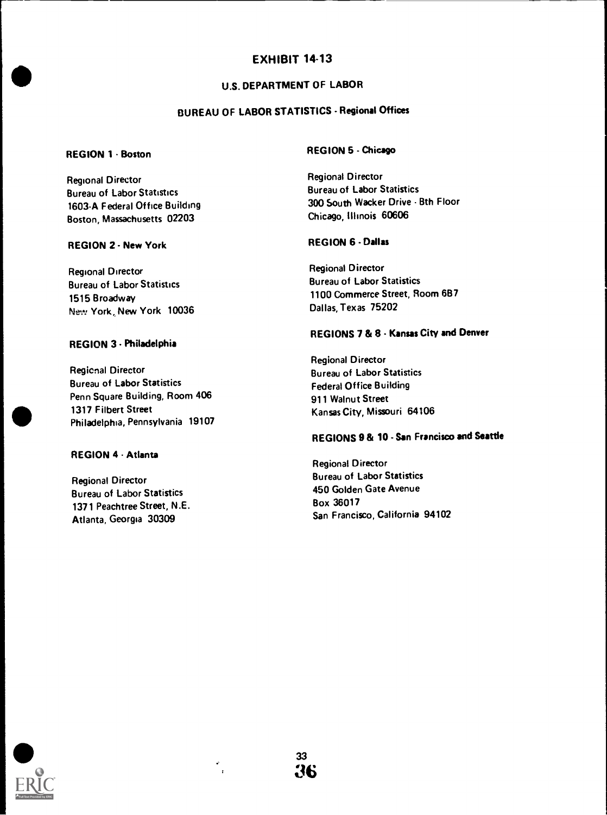# U.S. DEPARTMENT OF LABOR

# BUREAU OF LABOR STATISTICS - Regional Offices

# **REGION 1 - Boston**

Regional Director Bureau of Labor Statistics 1603A Federal Office Building Boston, Massachusetts 02203

#### REGION 2 - New York

Regional Director Bureau of Labor Statistics 1515 Broadway New York, New York 10036

# REGION 3 - Philadelphia

Regicnal Director Bureau of Labor Statistics Penn Square Building, Room 406 1317 Filbert Street Philadelphia, Pennsylvania 19107

#### REGION 4 - Atlanta

Regional Director Bureau of Labor Statistics 1371 Peachtree Street, N.E. Atlanta, Georgia 30309

# REGION 5 - Chicago

Regional Director Bureau of Labor Statistics 300 South Wacker Drive - Bth Floor Chicago, Illinois 60606

# REGION 6 - Dallas

Regional Director Bureau of Labor Statistics 1100 Commerce Street, Room 6B7 Dallas, Texas 75202

# REGIONS 7 & 8 - Kansas City and Denver

Regional Director Bureau of Labor Statistics Federal Office Building 911 Walnut Street Kansas City, Missouri 64106

# REGIONS 9 & 10 - San Francisco and Seattle

Regional Director Bureau of Labor Statistics 450 Golden Gate Avenue Box 36017 San Francisco, California 94102

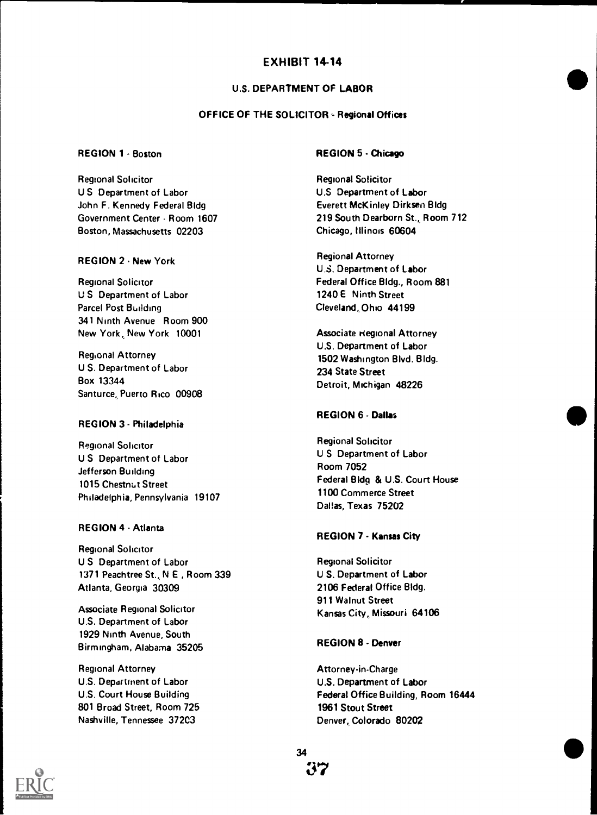# U.S. DEPARTMENT OF LABOR

# OFFICE OF THE SOLICITOR - Regional Offices

# REGION 1 - Boston

Regional Solicitor U S Department of Labor John F. Kennedy Federal Bldg Government Center - Room 1607 Boston, Massachusetts 02203

# REGION 2 - New York

Regional Solicitor U S Department of Labor Parcel Post Building 341 Ninth Avenue Room 900 New York, New York 10001

Regional Attorney U S. Department of Labor Box 13344 Santurce, Puerto Rico 00908

### REGION 3 - Philadelphia

Regional Solicitor U S Department of Labor Jefferson Building 1015 Chestnut Street Philadelphia, Pennsylvania 19107

### REGION 4 - Atlanta

Regional Solicitor U S Department of Labor 1371 Peachtree St., N E , Room 339 Atlanta, Georgia 30309

Associate Regional Solicitor U.S. Department of Labor 1929 Ninth Avenue, South Birmingham, Alabama 35205

Regional Attorney U.S. Department of Labor U.S. Court House Building 801 Broad Street, Room 725 Nashville, Tennessee 372C3

# REGION 5 - Chicago

Regional Solicitor U.S Department of Labor Everett McKinley Dirksen Bldg 219 South Dearborn St., Room 712 Chicago, Illinois 60604

Regional Attorney U.S. Department of Labor Federal Office Bldg., Room 881 1240E Ninth Street Cleveland, Ohio 44199

Associate regional Attorney U.S. Department of Labor 1502 Washington Blvd. Bldg. 234 State Street Detroit, Michigan 48226

### REGION 6 - Dallas

Regional Solicitor U S Department of Labor Room 7052 Federal Bldg & U.S. Court House 1100 Commerce Street Dallas, Texas 75202

### REGION 7 - Kansas City

Regional Solicitor U S. Department of Labor 2106 Federal Office Bldg. 911 Walnut Street Kansas City, Missouri 64106

# REGION 8 - Denver

Attorney in-Charge U.S. Department of Labor Federal Office Building, Room 16444 1961 Stout Street Denver, Colorado 80202

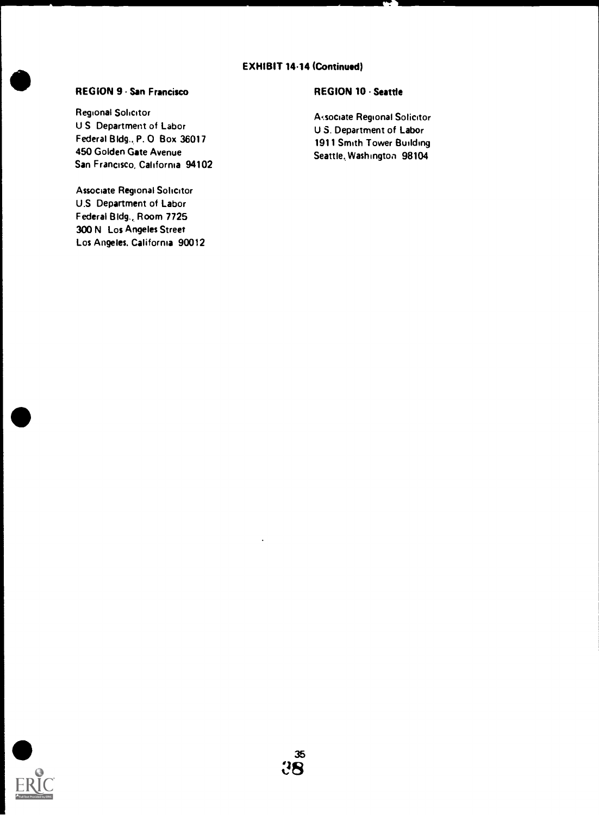# EXHIBIT 14.14 (Continued)

# REGION 9 - San Francisco

Regional Solicitor U S Department of Labor Federal Bldg., P. 0 Box 36017 450 Golden Gate Avenue San Francisco, California 94102

Associate Regional Solicitor U.S Department of Labor Federal Bldg., Room 7725 300 N Los Angeles Street Los Angeles, California 90012

# REGION 10 - Seattle

Associate Regional Solicitor U S. Department of Labor 1911 Smith Tower Building Seattle, Washington 98104

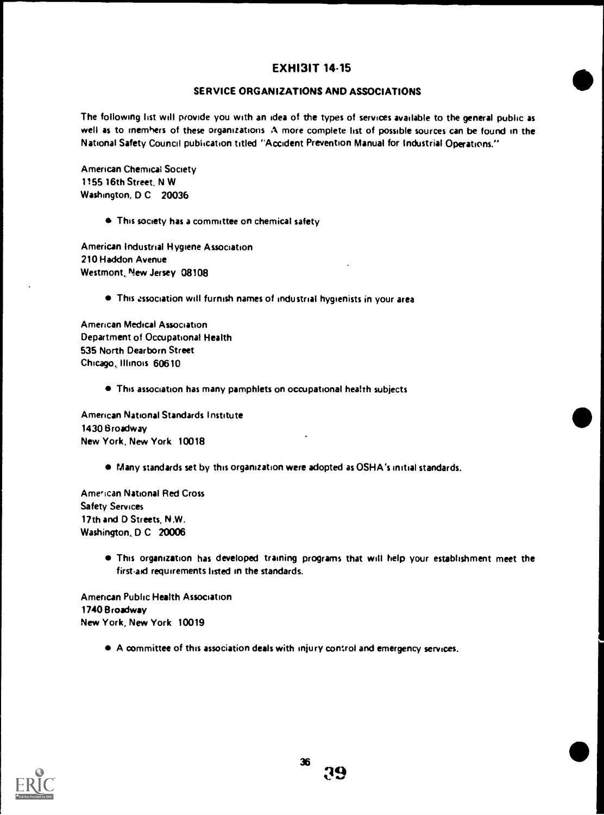# SERVICE ORGANIZATIONS AND ASSOCIATIONS

The following list will provide you with an idea of the types of services available to the general public as well as to rnemhers of these organizations A more complete list of possible sources can be found in the National Safety Council publication titled "Accident Prevention Manual for Industrial Operations.\*\*

American Chemical Society 1155 16th Street. N W Washington, D C 20036

This society has a committee on chemical safety

American Industrial Hygiene Association 210 Haddon Avenue Westmont, New Jersey 08108

This .ssociation will furnish names of industrial hygienists in your area

American Medical Association Department of Occupational Health 535 North Dearborn Street Chicago, Illinois 60610

This association has many pamphlets on occupational health subjects

American National Standards Institute 1430 Broadway New York, New York 10018

Many standards set by this organization were adopted as OSHA's initial standards.

American National Red Cross Safety Services 17th and D Streets, N.W. Washington, D C 20006

> This organization has developed training programs that will help your establishment meet the first-aid requirements listed in the standards.

American Public Health Association 1740 Broadway New York, New York 10019

A committee of this association deals with injury control and emergency services.

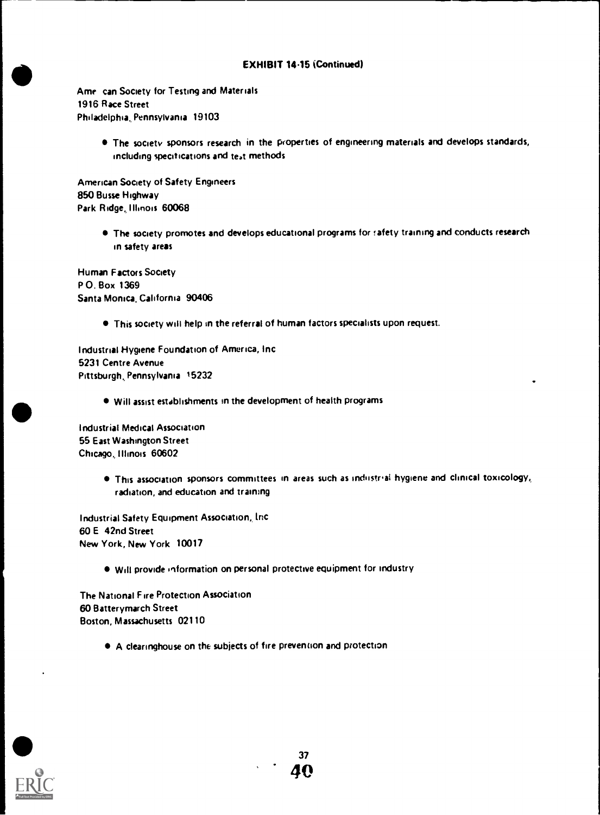# EXHIBIT 14.15 (Continued)

Ame can Society for Testing and Materials 1916 Race Street Philadelphia, Pennsylvania 19103

> The society sponsors research in the properties of engineering materials and develops standards, including specifications and teat methods

American Society of Safety Engineers 850 Busse Highway Park Ridge, Illinois 60068

> $\bullet$  The society promotes and develops educational programs for rafety training and conducts research in safety areas

Human Factors Society P O. Box 1369 Santa Monica, California 90406

This society will help in the referral of human factors specialists upon request.

Industrial Hygiene Foundation of America, Inc 5231 Centre Avenue Pittsburgh,, Pennsylvania 15232

Will assist establishments in the development of health programs

Industrial Medical Association 55 East Washington Street Chicago, Illinois 60602

> This association sponsors committees in areas such as industrial hygiene and clinical toxicology, radiation, and education and training

Industrial Safety Equipment Association, Inc 60 E 42nd Street New York, New York 10017

Will provide information on personal protective equipment for industry

The National Fire Protection Association 60 Batterymarch Street Boston, Massachusetts 02110

A clearinghouse on the subjects of fire prevention and protection



37 40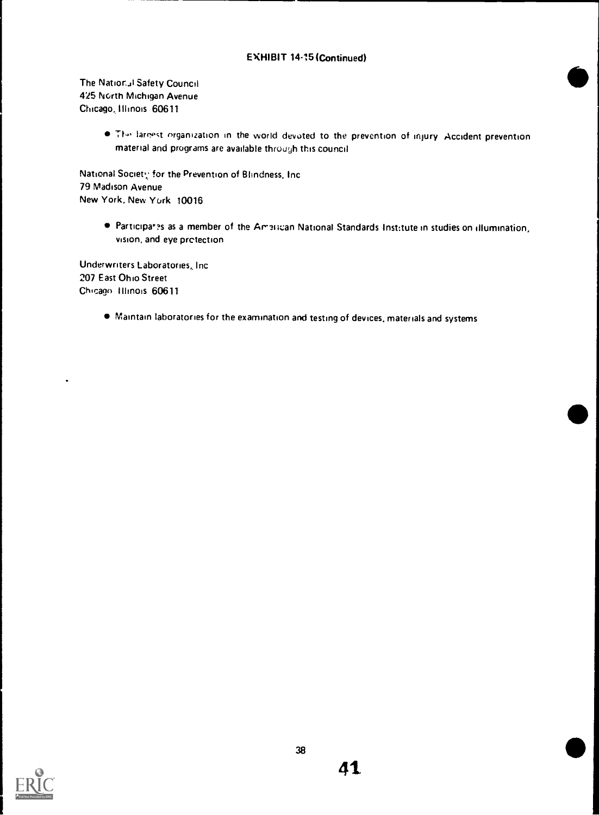# EXHIBIT 14-15 (Continued)

The Natior-il Safety Council 425 North Michigan Avenue Chicago, Illinois 60611

> . The largest organization in the world devoted to the prevention of injury. Accident prevention material and programs are available through this council

National Society for the Prevention of Blindness, Inc. 79 Madison Avenue New York, New York 10016

> **Participanes as a member of the Arnitican National Standards Institute in studies on illumination,** vision, and eye protection

Underwriters Laboratories, Inc 207 East Ohio Street Chicago Illinois 60611

 $\ddot{\phantom{0}}$ 

Maintain laboratories for the examination and testing of devices, materials and systems

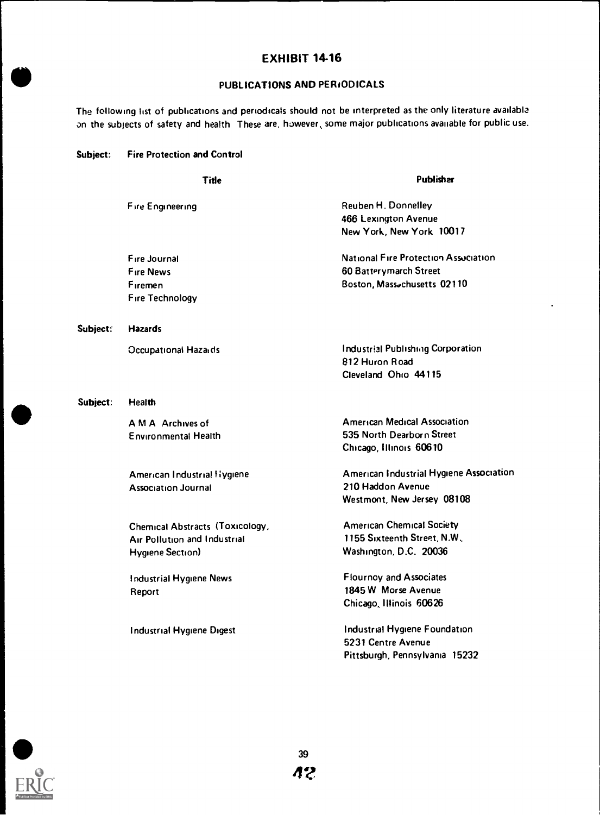# PUBLICATIONS AND PERIODICALS

The following list of publications and periodicals should not be interpreted as the only literature available on the subjects of safety and health These are, however, some major publications available for public use.

| Subject: |  | <b>Fire Protection and Control</b> |  |  |  |
|----------|--|------------------------------------|--|--|--|
|----------|--|------------------------------------|--|--|--|

e

|          | Title                                                                               | Publisher                                                                                         |
|----------|-------------------------------------------------------------------------------------|---------------------------------------------------------------------------------------------------|
|          | Fire Engineering                                                                    | Reuben H. Donnelley<br>466 Lexington Avenue<br>New York, New York 10017                           |
|          | Fire Journal<br><b>Fire News</b><br>Firemen<br>Fire Technology                      | National Fire Protection Association<br>60 Batterymarch Street<br>Boston, Massachusetts 02110     |
| Subject: | <b>Hazards</b>                                                                      |                                                                                                   |
|          | Occupational Hazaids                                                                | <b>Industrial Publishing Corporation</b><br>812 Huron Road<br>Cleveland Ohio 44115                |
| Subject: | <b>Health</b>                                                                       |                                                                                                   |
|          | A M A Archives of<br><b>Environmental Health</b>                                    | <b>American Medical Association</b><br>535 North Dearborn Street<br>Chicago, Illinois 60610       |
|          | American Industrial Hygiene<br><b>Association Journal</b>                           | <b>American Industrial Hygiene Association</b><br>210 Haddon Avenue<br>Westmont, New Jersey 08108 |
|          | Chemical Abstracts (Toxicology,<br>Air Pollution and Industrial<br>Hygiene Section) | <b>American Chemical Society</b><br>1155 Sixteenth Street, N.W.<br>Washington, D.C. 20036         |
|          | <b>Industrial Hygiene News</b><br>Report                                            | <b>Flournoy and Associates</b><br>1845 W Morse Avenue<br>Chicago, Illinois 60626                  |
|          | <b>Industrial Hygiene Digest</b>                                                    | Industrial Hygiene Foundation<br>5231 Centre Avenue                                               |



Pittsburgh, Pennsylvania 15232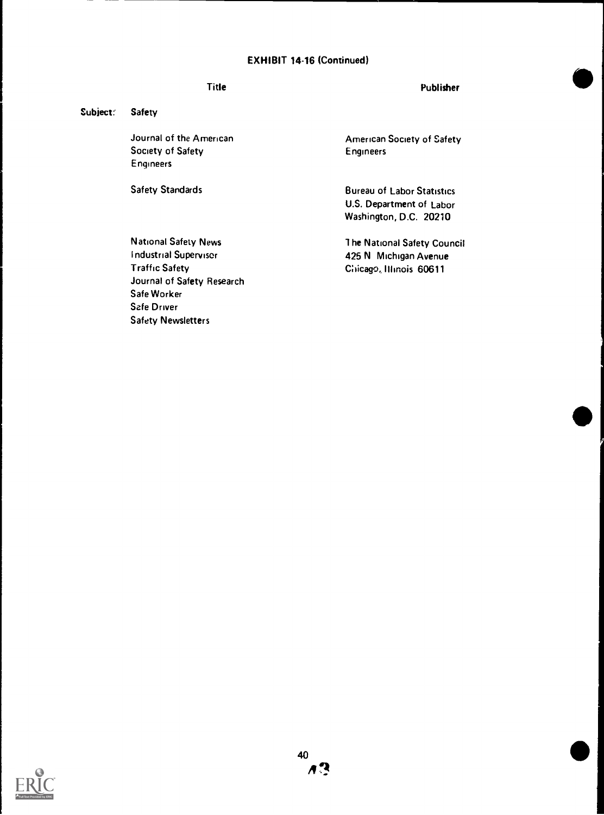# EXHIBIT 14-16 (Continued)

# Title

#### Publisher

#### Subject: Safety

Journal of the American Society of Safety Engineers

Safety Standards

American Society of Safety Engineers

Bureau of Labor Statistics U.S. Department of Labor Washington, D.C. 20210

1 he National Safety Council 425 N Michigan Avenue Chicago, Illinois 60611

National Safety News Industrial Supervisor Traffic Safety Journal of Safety Research Safe Worker Safe Driver Safety Newsletters

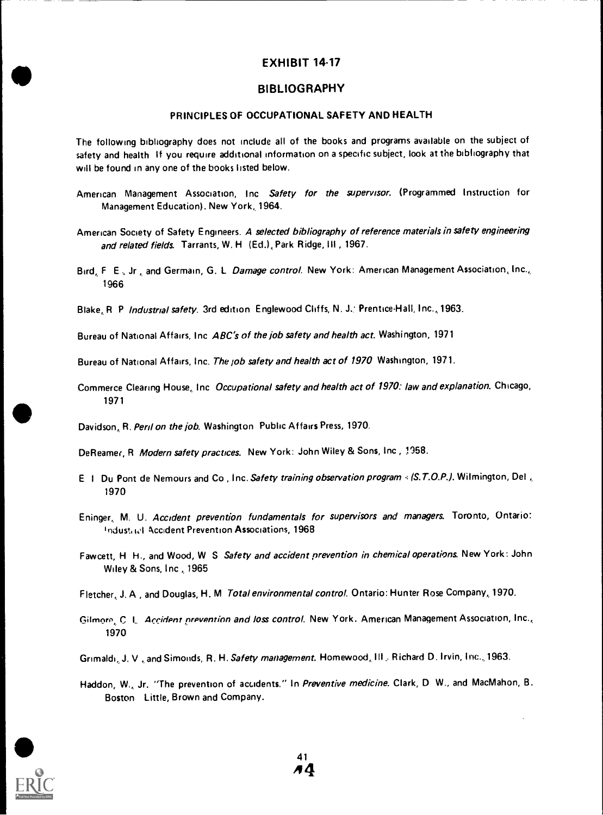# BIBLIOGRAPHY

### PRINCIPLES OF OCCUPATIONAL SAFETY AND HEALTH

The following bibliography does not include all of the books and programs available on the subject of safety and health If you require additional information on a specific subject, look at the bibliography that will be found in any one of the books listed below.

- American Management Association, Inc Safety for the supervisor. (Programmed Instruction for Management Education). New York, 1964.
- American Society of Safety Engineers. A selected bibliography of reference materials in safety engineering and related fields. Tarrants, W. H. (Ed.), Park Ridge, III, 1967.
- Bird, F. E., Jr., and Germain, G. L. Damage control. New York: American Management Association, Inc., 1966
- Blake, R. P. Industrial safety. 3rd edition: Englewood Cliffs, N. J., Prentice-Hall, Inc., 1963.

Bureau of National Affairs, Inc ABC's of the job safety and health act. Washington, 1971

Bureau of National Affairs, Inc. The job safety and health act of 1970 Washington, 1971.

Commerce Clearing House, Inc Occupational safety and health act of 1970: law and explanation. Chicago, 1971

Davidson, R. Peril on the job. Washington Public Affairs Press, 1970.

DeReamer, R Modern safety practices. New York: John Wiley & Sons, Inc , 1958.

- E I Du Pont de Nemours and Co, Inc. Safety training observation program = (S.T.O.P.). Wilmington, Del, 1970
- Eninger, M. U. Accident prevention fundamentals for supervisors and managers. Toronto, Ontario: Industrict Accident Prevention Associations, 1968
- Fawcett, H H., and Wood, W S Safety and accident prevention in chemical operations. New York: John Wiley & Sons, Inc., 1965

Fletcher, J. A , and Douglas, H. M Total environmental control. Ontario: Hunter Rose Company, 1970.

Gilmore, C. L. Accident prevention and loss control. New York. American Management Association, Inc., 1970

Grimaldi, J. V., and Simonds, R. H. Safety management. Homewood, III. Richard D. Irvin, Inc., 1963.

Haddon, W., Jr. "The prevention of accidents." In Preventive medicine. Clark, D W., and MacMahon, B. Boston Little, Brown and Company.

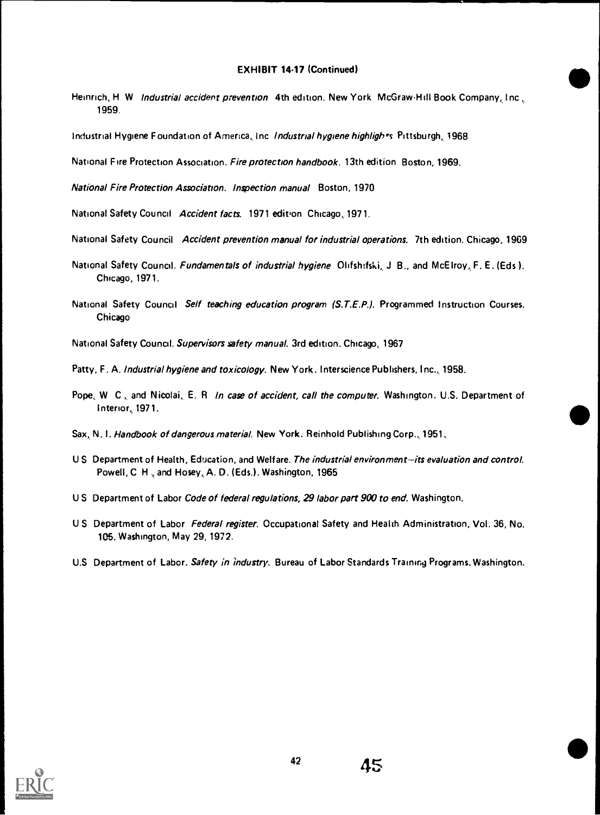# EXHIBIT 14-17 (Continued)

Heinrich, H. W. Industrial accident prevention 4th edition. New York: McGraw-Hill Book Company, Inc. 1959.

Industrial Hygiene Foundation of America, Inc. Industrial hygiene highligh is Pittsburgh, 1968

National Fire Protection Association. Fire protection handbook. 13th edition Boston, 1969.

National Fire Protection Association. Inspection manual Boston, 1970

National Safety Council Accident facts. 1971 edition Chicago, 1971.

- National Safety Council Accident prevention manual for industrial operations. 7th edition. Chicago, 1969
- National Safety Council. Fundamentals of industrial hygiene Olifshifski, J B., and McElroy, F. E. (Eds). Chicago, 1971.
- National Safety Council Self teaching education program (S.T.E.P.). Programmed Instruction Courses. Chicago
- National Safety Council. Supervisors safety manual. 3rd edition. Chicago, 1967
- Patty, F. A. Industrial hygiene and toxicology. New York. Interscience Publishers, Inc., 1958.
- Pope, W C., and Nicolai, E. R In case of accident, call the computer. Washington. U.S. Department of Interior, 1971.
- Sax, N. I. Handbook of dangerous material. New York. Reinhold Publishing Corp., 1951.
- U S Department of Health, Education, and Welfare. The industrial environment-its evaluation and control. Powell, C. H., and Hosey, A. D. (Eds.). Washington, 1965
- US Department of Labor Code of federal regulations, 29 labor part 900 to end. Washington.
- US Department of Labor Federal register. Occupational Safety and Health Administration, Vol. 36, No. 105. Washington, May 29, 1972.
- U.S. Department of Labor. Safety in industry. Bureau of Labor Standards Training Programs. Washington.

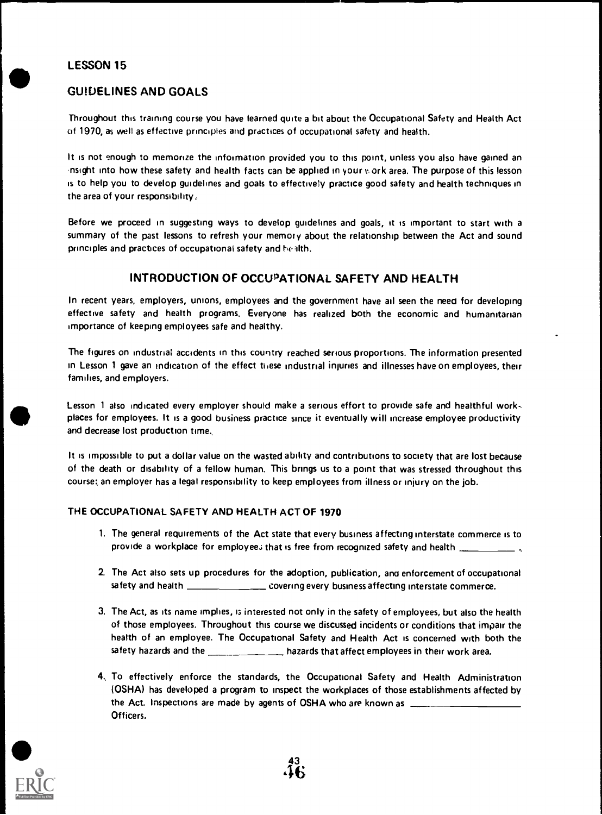# LESSON 15

# GUIDELINES AND GOALS

Throughout this training course you have learned quite a bit about the Occupational Safety and Health Act of 1970, as well as effective principles and practices of occupational safety and health.

It is not enough to memorize the information provided you to this point, unless you also have gained an nsight into how these safety and health facts can be applied in yourv.ork area. The purpose of this lesson is to help you to develop guidelines and goals to effectively practice good safety and health techniques in the area of your responsibility:

Before we proceed in suggesting ways to develop guidelines and goals, it is important to start with a summary of the past lessons to refresh your memory about the relationship between the Act and sound principles and practices of occupational safety and bealth.

# INTRODUCTION OF OCCUPATIONAL SAFETY AND HEALTH

In recent years, employers, unions, employees and the government have ail seen the neeo for developing effective safety and health programs. Everyone has realized both the economic and humanitarian importance of keeping employees safe and healthy.

The figures on industrial accidents in this country reached serious proportions. The information presented in Lesson 1 gave an indication of the effect these industrial injuries and illnesses have on employees, their families, and employers.

Lesson <sup>1</sup> also indicated every employer should make a serious effort to provide safe and healthful workplaces for employees. It is a good business practice since it eventually will increase employee productivity and decrease lost production time.

It is impossible to put a dollar value on the wasted ability and contributions to society that are lost because of the death or disability of a fellow human. This brings us to a point that was stressed throughout this course:, an employer has a legal responsibility to keep employees from illness or injury on the job.

# THE OCCUPATIONAL SAFETY AND HEALTH ACT OF 1970

- 1. The general requirements of the Act state that every business affecting interstate commerce is to provide a workplace for employee; that is free from recognized safety and health \_\_\_\_\_\_\_\_\_\_\_\_\_\_.
- 2. The Act also sets up procedures for the adoption, publication, ano enforcement of occupational safety and health **covering every business affecting interstate commerce.**
- 3. The Act, as its name implies, is interested not only in the safety of employees, but also the health of those employees. Throughout this course we discussed incidents or conditions that impair the health of an employee. The Occupational Safety and Health Act is concerned with both the safety hazards and the **hazards that affect employees in their work** area.
- 4, To effectively enforce the standards, the Occupational Safety and Health Administration (OSHA) has developed a program to inspect the workplaces of those establishments affected by the Act. Inspections are made by agents of OSHA who are known as Officers.

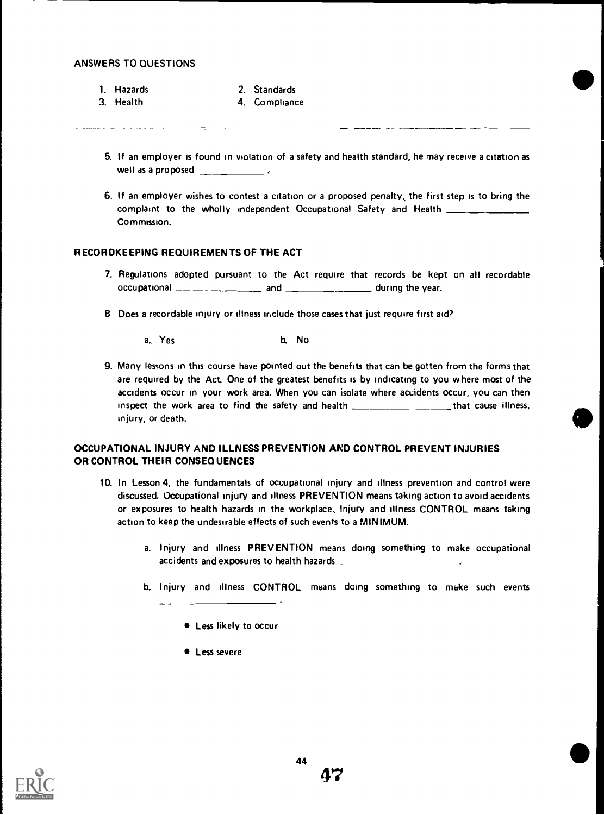- 1. Hazards
- 2. Standards
- 3. Health 4. Compliance

- 5. If an employer is found in violation of a safety and health standard, he may receive a citation as well as a proposed
- 6. If an employer wishes to contest a citation or a proposed penalty, the first step is to bring the complaint to the wholly independent Occupational Safety and Health \_\_\_\_\_ Commission.

#### RECORDKEEPING REQUIREMENTS OF THE ACT

- 7. Regulations adopted pursuant to the Act require that records be kept on all recordable occupational **and during the year.** and  $\frac{1}{\sqrt{2\pi}}$  during the year.
- 8 Does a recordable injury or illness include those cases that just require first aid?
	- a, Yes b. No
- 9. Many lessons in this course have pointed out the benefits that can be gotten from the forms that are required by the Act One of the greatest benefits is by indicating to you where most of the accidents occur in your work area. When you can isolate where accidents occur, you can then inspect the work area to find the safety and health **Interact Common Common Liness**, injury, or death.

#### OCCUPATIONAL INJURY AND ILLNESS PREVENTION AND CONTROL PREVENT INJURIES OR CONTROL THEIR CONSEQUENCES

- 10. In Lesson 4, the fundamentals of occupational injury and illness prevention and control were discussed. Occupational injury and illness PREVENTION means taking action to avoid accidents or exposures to health hazards in the workplace., Injury and illness CONTROL means taking action to keep the undesirable effects of such events to a MINIMUM.
	- a. Injury and illness PREVENTION means doing something to make occupational accidents and exposures to health hazards
	- b. Injury and illness CONTROL means doing something to make such events

 $\bullet$  Less severe



**<sup>.</sup>** Less likely to occur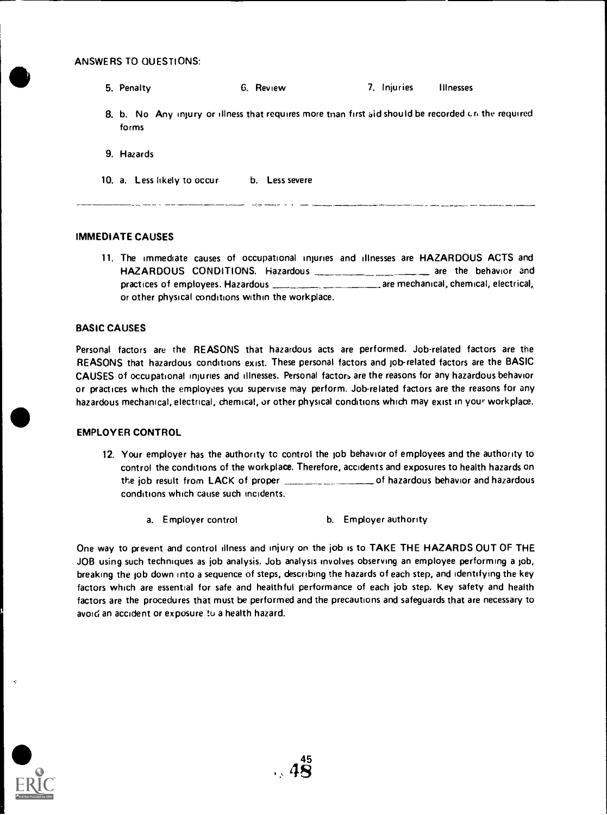- 5. Penalty 6. Review 7. Injuries Illnesses
- 8. b. No Any injury or illness that requires more than first aid should be recorded cri the required forms

.<br>An Principal Marian and Company and Company and Company and Company and Company and Company and Company and Co

- 9. Hazards
- 10. a. Less likely to occur b. Less severe

#### IMMEDIATE CAUSES

11. The immediate causes of occupational injuries and illnesses are HAZARDOUS ACTS and HAZARDOUS CONDITIONS. Hazardous \_\_\_\_\_\_\_\_\_\_\_\_\_\_\_\_ are the behavior and practices of employees. Hazardous **are mechanical**, chemical, electrical, or other physical conditions within the workplace.

#### BASIC CAUSES

Personal factors are the REASONS that hazardous acts are performed. Job-related factors are the REASONS that hazardous conditions exist. These personal factors and job-related factors are the BASIC CAUSES of occupational injuries and illnesses. Personal factors are the reasons for any hazardous behavior or practices which the employees you supervise may perform. Job-related factors are the reasons for any hazardous mechanical, electrical, chemical, or other physical conditions which may exist in your workplace.

#### EMPLOYER CONTROL

- 12. Your employer has the authority to control the job behavior of employees and the authority to control the conditions of the workplace. Therefore, accidents and exposures to health hazards on the job result from LACK of proper \_\_\_\_\_\_\_\_\_\_\_\_\_\_\_\_\_\_\_\_\_of hazardous behavior and hazardous conditions which cause such incidents.
	- a. Employer control b. Employer authority

One way to prevent and control illness and injury on the job is to TAKE THE HAZARDS OUT OF THE JOB using such techniques as job analysis. Job analysis involves observing an employee performing a job, breaking the job down into a sequence of steps, describing the hazards of each step, and identifying the key factors which are essential for safe and healthful performance of each job step. Key safety and health factors are the procedures that must be performed and the precautions and safeguards that are necessary to avoid an accident or exposure to a health hazard.

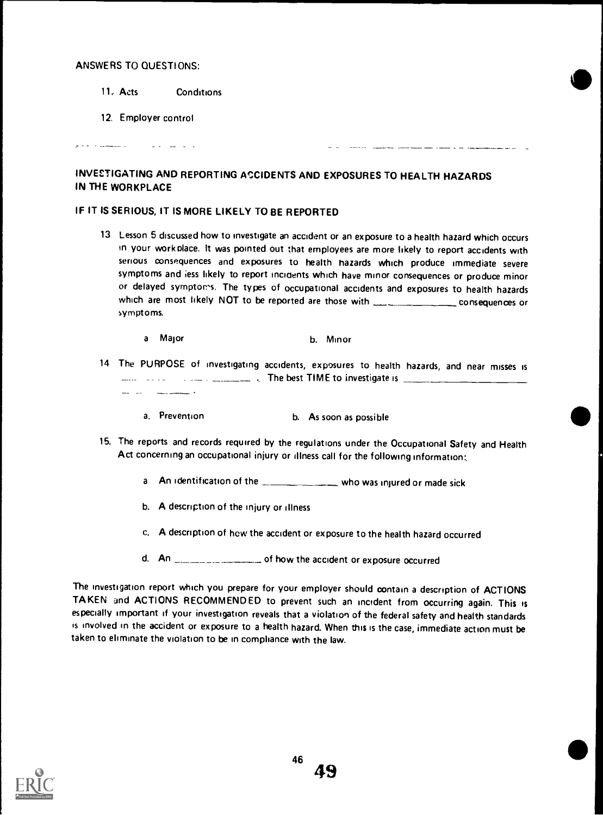المستسلم والمعالج

11. Acts Conditions

and a straight and a

12. Employer control

# INVESTIGATING AND REPORTING ACCIDENTS AND EXPOSURES TO HEALTH HAZARDS IN THE WORKPLACE

# IF IT IS SERIOUS, IT IS MORE LIKELY TO BE REPORTED

<sup>13</sup> Lesson 5 discussed how to investigate an accident or an exposure to a health hazard which occurs in your work olace. It was pointed out that employees are more likely to report accidents with serious consequences and exposures to health hazards which produce immediate severe symptoms and less likely to report incidents which have minor consequences or produce minor or delayed symptoms. The types of occupational accidents and exposures to health hazards which are most likely NOT to be reported are those with consequences or symptoms.

<u>and an indice</u> to a same

- <sup>a</sup> Major b. Minor
- <sup>14</sup> The PURPOSE of investigating accidents, exposures to health hazards, and near misses is \_\_\_\_\_ ., The best TIME to investigate is <u> 1980 - Januar A</u>
	- a. Prevention b. As soon as possible
- 15. The reports and records required by the regulations under the Occupational Safety and Health Act concerning an occupational injury or illness call for the following information;
	- a An identification of the window who was injured or made sick
	- b. A description of the injury or illness
	- c. A description of hew the accident or exposure to the health hazard occurred
	- d. An  $\frac{1}{2}$  An  $\frac{1}{2}$  and  $\frac{1}{2}$  of how the accident or exposure occurred

The investigation report which you prepare for your employer should contain a description of ACTIONS TAKEN and ACTIONS RECOMMENDED to prevent such an incident from occurring again. This is especially important if your investigation reveals that a violation of the federal safety and health standards is involved in the accident or exposure to a health hazard. When this is the case, immediate action must be taken to eliminate the violation to be in compliance with the law.

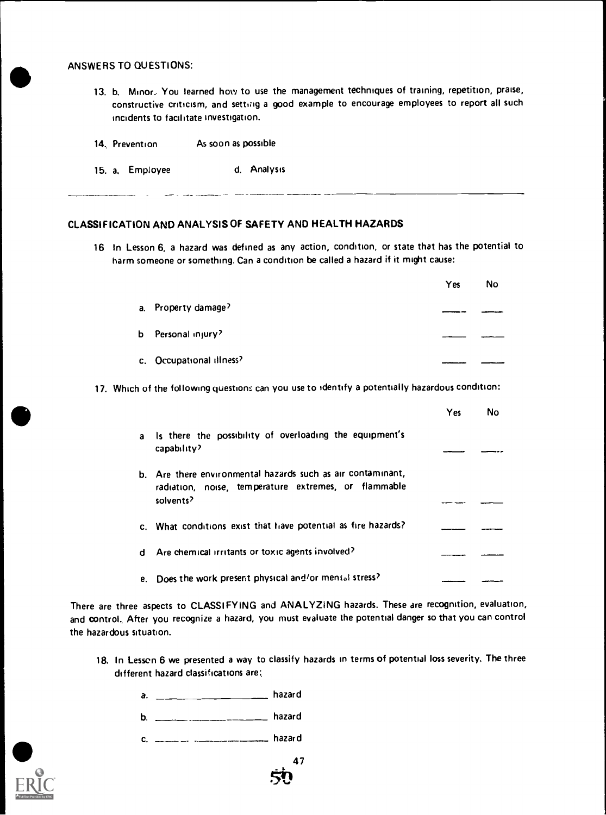13. b. Minor. You learned how to use the management techniques of training, repetition, praise, constructive criticism, and setting a good example to encourage employees to report all such incidents to facilitate investigation.

| 14. Prevention | As soon as possible |  |
|----------------|---------------------|--|
|----------------|---------------------|--|

15. a. Employee d. Analysis

#### CLASSIFICATION AND ANALYSIS OF SAFETY AND HEALTH HAZARDS

16 In Lesson 6, a hazard was defined as any action, condition, or state that has the potential to harm someone or something. Can a condition be called a hazard if it might cause:

|   |                                                                                                                                  | Yes | No  |
|---|----------------------------------------------------------------------------------------------------------------------------------|-----|-----|
|   | a. Property damage?                                                                                                              |     |     |
| b | Personal injury?                                                                                                                 |     |     |
|   | c. Occupational illness?                                                                                                         |     |     |
|   | 17. Which of the following questions can you use to identify a potentially hazardous condition:                                  |     |     |
|   |                                                                                                                                  | Yes | No. |
| a | Is there the possibility of overloading the equipment's<br>capability?                                                           |     |     |
|   | b. Are there environmental hazards such as air contaminant,<br>radiation, noise, temperature extremes, or flammable<br>solvents? |     |     |
|   | c. What conditions exist that have potential as fire hazards?                                                                    |     |     |
| d | Are chemical irritants or toxic agents involved?                                                                                 |     |     |
|   | e. Does the work present physical and/or mental stress?                                                                          |     |     |

There are three aspects to CLASSIFYING and ANALYZING hazards. These are recognition, evaluation, and control. After you recognize a hazard, you must evaluate the potential danger so that you can control the hazardous situation.

- 18. In Lessen 6 we presented a way to classify hazards in terms of potential loss severity. The three different hazard classifications are:,
	- a. hazard
	- b. \_\_\_\_\_\_\_\_\_\_\_\_\_\_\_\_\_\_\_\_\_\_\_\_\_\_\_ hazard
	- c. \_\_\_\_\_\_\_\_\_\_\_\_\_\_\_\_\_\_\_\_\_\_\_\_\_\_\_\_\_\_\_\_ hazard

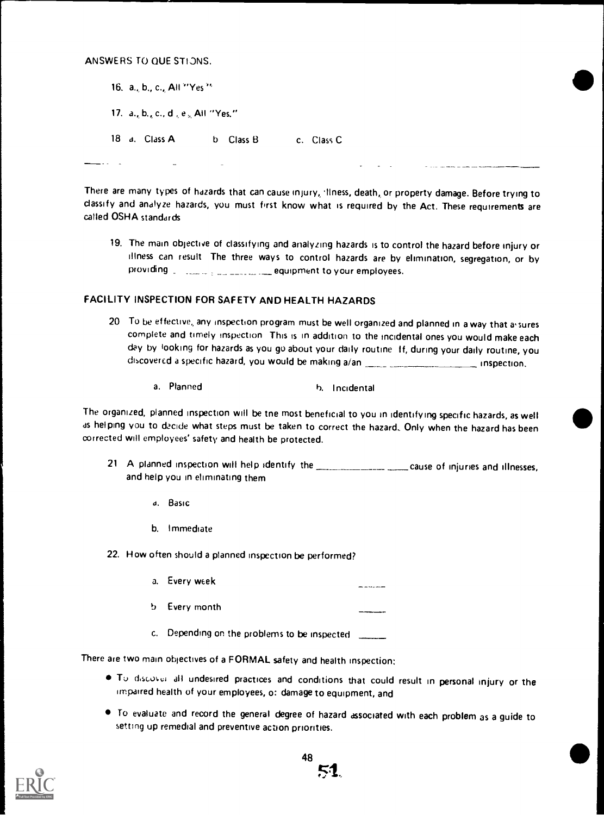| 16. a., b., c., All "Yes"          |               |            |  |
|------------------------------------|---------------|------------|--|
| 17. a., b., c., d., e., All "Yes." |               |            |  |
| 18 a. Class A                      | Class B<br>b. | c. Class C |  |

There are many types of hazards that can cause injury, 'liness, death, or property damage. Before trying to classify and analyze hazards, you must first know what is required by the Act. These requirements are called OSHA standards

19. The main objective of classifying and analyzing hazards is to control the hazard before injury or illness can result The three ways to control hazards are by elimination, segregation, or by providing equipment to your employees.

# FACILITY INSPECTION FOR SAFETY AND HEALTH HAZARDS

- 20 To be effective, any inspection program must be well organized and planned in a way that assures complete and timely inspection This is in addition to the incidental ones you would make each day by looking for hazards as you go about your daily routine If, during your daily routine, you discovered a specific hazard, you would be making a/an inspection.
	- a. Planned h. Incidental

The organized, planned inspection will be tne most beneficial to you in identifying specific hazards, as well as helping you to decide what steps must be taken to correct the hazard, Only when the hazard has been corrected will employees' safety and health be protected.

- 21 A planned inspection will help identify the cause of injuries and illnesses, and help you in eliminating them
	- a. Basic
	- b. Immediate

22. How often should a planned inspection be performed?

- a. Every week
- b Every month

c. Depending on the problems to be inspected

There are two main objectives of a FORMAL safety and health inspection:

- . To discover all undesired practices and conditions that could result in personal injury or the impaired health of your employees, o: damage to equipment, and
- To evaluate and record the general degree of hazard associated with each problem as a guide to setting up remedial and preventive action priorities.

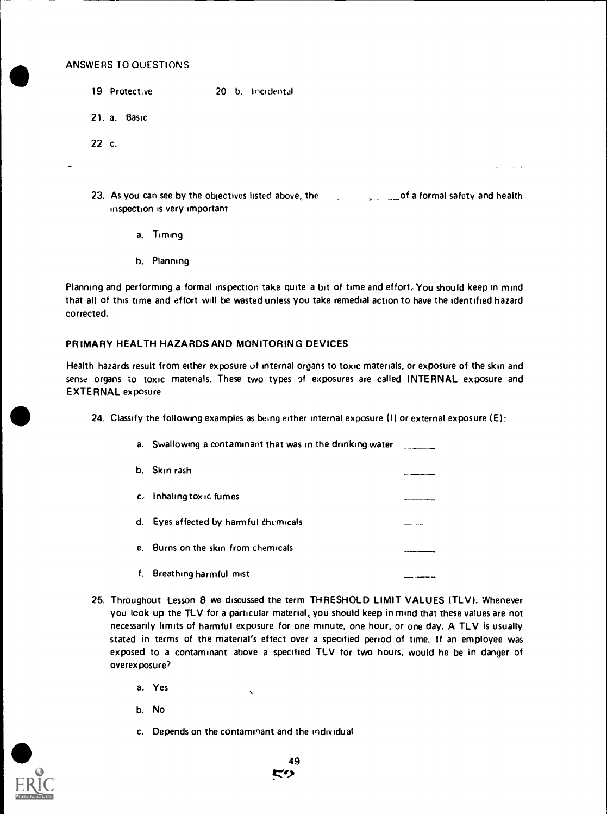- 19 Protective 20 b. Incidental
- 21. a. Basic
- 22 c.
- 
- 23. As you can see by the objectives listed above, the  $\sim$  of a formal safety and health inspection is very important

 $\sim$   $\sim$   $\sim$   $\sim$   $\sim$ 

- a. Timing
- b. Planning

Planning and performing a formal inspection take quite a bit of time and effort. You should keep in mind that all of this time and effort will be wasted unless you take remedial action to have the identified hazard corrected.

#### PRIMARY HEALTH HAZARDS AND MONITORING DEVICES

Health hazards result from either exposure of internal organs to toxic materials, or exposure of the skin and sense organs to toxic materials. These two types of exposures are called INTERNAL exposure and EXTERNAL exposure

24. Classify the following examples as being either internal exposure (I) or external exposure (E):

| а. | Swallowing a contaminant that was in the drinking water |  |
|----|---------------------------------------------------------|--|
|    | b. Skin rash                                            |  |
|    | c. Inhaling toxic fumes                                 |  |
| d. | Eyes affected by harmful chemicals                      |  |
| е. | Burns on the skin from chemicals                        |  |
| f. | Breathing harmful mist                                  |  |

- 25. Throughout Lesson 8 we discussed the term THRESHOLD LIMIT VALUES (TLV). Whenever you look up the TLV for a particular material, you should keep in mind that these values are not necessarily limits of harmful exposure for one minute, one hour, or one day. A TLV is usually stated in terms of the material's effect over a specified period of time. If an employee was exposed to a contaminant above a specified TLV for two hours, would he be in danger of overexposure?
	- a. Yes
	- b. No
	- c. Depends on the contaminant and the individual

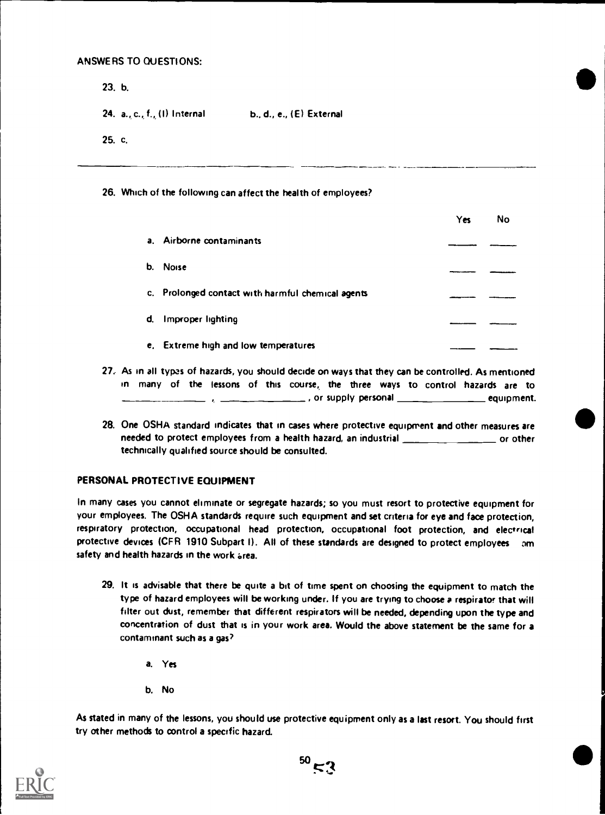23. b.

24. a., c., f., (I) Internal b., d., e., (E) External

25. c.

#### 26. Which of the following can affect the health of employees?

|    |                                                   | Yes | No |
|----|---------------------------------------------------|-----|----|
| a. | Airborne contaminants                             |     |    |
| b. | <b>Noise</b>                                      |     |    |
|    | c. Prolonged contact with harmful chemical agents |     |    |
| d. | Improper lighting                                 |     |    |
|    | e. Extreme high and low temperatures              |     |    |

- 27: As in all typas of hazards, you should decide on ways that they can be controlled. As mentioned in many of the lessons of this course, the three ways to control hazards are to  $\frac{1}{1}$  , or supply personal  $\frac{1}{1}$  equipment.
- 28. One OSHA standard indicates that in cases where protective equipment and other measures are needed to protect employees from a health hazard, an industrial or other technically qualified source should be consulted.

#### PERSONAL PROTECTIVE EQUIPMENT

In many cases you cannot eliminate or segregate hazards; so you must resort to protective equipment for your employees. The OSHA standards require such equipment and set criteria for eye and face protection, respiratory protection, occupational head protection, occupational foot protection, and electrical protective devices (CFR 1910 Subpart I). All of these standards are designed to protect employees am safety and health hazards in the work area.

- 29. It is advisable that there be quite a bit of time spent on choosing the equipment to match the type of hazard employees will be working under. If you are trying to choose a respirator that will filter out dust, remember that different respirators will be needed, depending upon the type and concentration of dust that is in your work area. Would the above statement be the same for a contaminant such as a gas?
	- a. Yes
	- b. No

As stated in many of the lessons, you should use protective equipment only as a last resort. You should first try other methods to control a specific hazard.

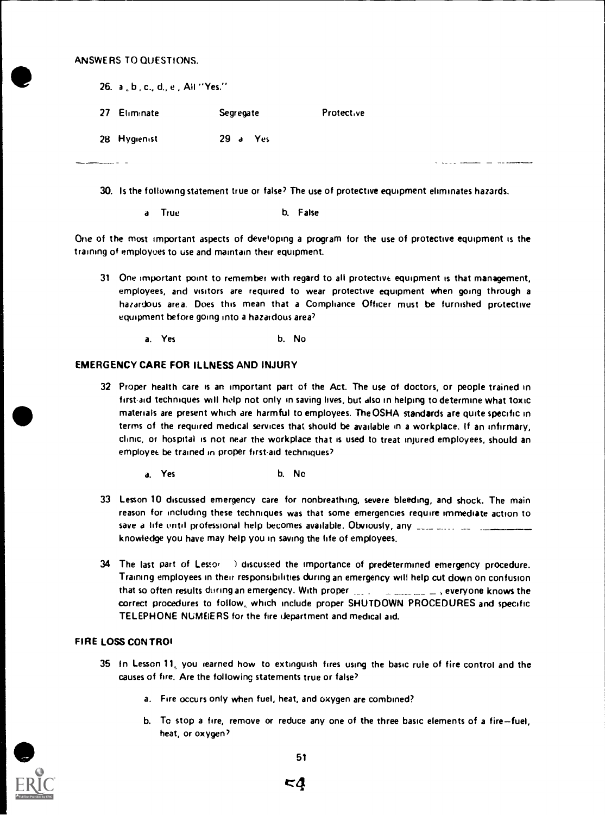|          | 26. a, b, c., d., e, All "Yes." |           |            |  |  |
|----------|---------------------------------|-----------|------------|--|--|
|          | 27 Eliminate                    | Segregate | Protective |  |  |
|          | 28 Hygienist                    | 29 a Yes  |            |  |  |
| ________ |                                 |           |            |  |  |

- 30. Is the following statement true or false' The use of protective equipment eliminates hazards.
	- a True b. False

One of the most important aspects of developing a program for the use of protective equipment is the training of employees to use and maintain their equipment.

- 31 One important point to remember with regard to all protective equipment is that management, employees, and visitors are required to wear protective equipment when going through a hazardous area. Does this mean that a Compliance Officer must be furnished protective equipment before going into a hazardous area
	- a. Yes b. No

#### EMERGENCY CARE FOR ILLNESS AND INJURY

- 32 Proper health care is an important part of the Act. The use of doctors, or people trained in first-aid techniques will help not only in saving lives, but also in helping to determine what toxic materials are present which are harmful to employees. The OSHA standards are quite specific in terms of the required medical services that should be available in a workplace. If an infirmary, clinic, or hospital is not near the workplace that is used to treat injured employees, should an employee be trained in proper first-aid techniques?
	- a. Yes b. No
- 33 Lesson 10 discussed emergency care for nonbreathing, severe bleeding, and shock. The main reason for including these techniques was that some emergencies require immediate action to save a life until professional help becomes available. Obviously, any was any contract of the contract of knowledge you have may help you in saving the life of employees.
- 34 The last part of Lessor ) discussed the importance of predetermined emergency procedure. Training employees in their responsibilities during an emergency will help cut down on confusion that so often results during an emergency. With proper  $\mu$  ,  $\mu$  ,  $\mu$  ,  $\mu$  ,  $\mu$  , everyone knows the correct procedures to follow, which include proper SHUTDOWN PROCEDURES and specific TELEPHONE NUMEIERS for the fire department and medical aid.

#### FIRE LOSS CON TROI

- 35 In Lesson 11, you learned how to extinguish fires using the basic rule of fire control and the causes of fire. Are the following statements true or false'
	- a. Fire occurs only when fuel, heat, and oxygen are combined?
	- b. To stop a fire, remove or reduce any one of the three basic elements of a fire-fuel, heat, or oxygen'



**c**4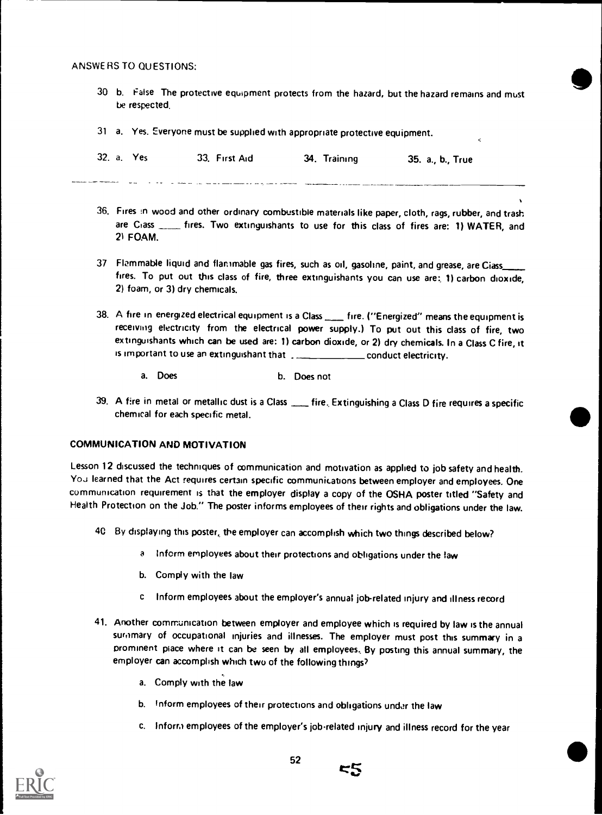- 30 b. False The protective equipment protects from the hazard, but the hazard remains and must be respected.
- 31 a. Yes. Everyone must be supplied with appropriate protective equipment.

| 32. a. Yes | 33. First Aid | 34. Training | 35. a., b., True |
|------------|---------------|--------------|------------------|
|            |               |              |                  |

- 36. Fires :n wood and other ordinary combustible materials like paper, cloth, rags, rubber, and trash are Ciass \_\_\_\_\_ fires. Two extinguishants to use for this class of fires are: 1) WATER, and 21 FOAM.
- 37 Flammable liquid and flammable gas fires, such as oil, gasoline, paint, and grease, are Ciass fires. To put out this class of fire, three extinguishants you can use are: 1) carbon dioxide, 2) foam, or 3) dry chemicals.
- 38. A fire in energized electrical equipment is a Class <sub>meara</sub> fire. ("Energized" means the equipment is receiving electricity from the electrical power supply.) To put out this class of fire, two extinguishants which can be used are: 1) carbon dioxide, or 2) dry chemicals. In a Class C fire, it is important to use an extinguishant that conduct electricity.
	- a. Does b. Does not
- 39. A fire in metal or metallic dust is a Class \_\_\_\_ fire, Extinguishing a Class D fire requires a specific chemical for each specific metal.

#### COMMUNICATION AND MOTIVATION

Lesson 12 discussed the techniques of communication and motivation as applied to job safety and health. You learned that the Act requires certain specific communications between employer and employees. One communication requirement is that the employer display a copy of the OSHA poster titled "Safety and Health Protection on the Job." The poster informs employees of their rights and obligations under the law.

- 40 By displaying this poster, the employer can accomplish which two things described below?
	- <sup>a</sup> inform employees about their protections and obligations under the law
	- b. Comply with the law
	- c Inform employees about the employer's annual jobrelated injury and illness record
- 41. Another communication between employer and employee which is required by law is the annual suromary of occupational injuries and illnesses. The employer must post this summary in a prominent place where it can be seen by all employees.. By posting this annual summary, the employer can accomplish which two of the following things'?
	- a. Comply with the law
	- b. Inform employees of their protections and obligations under the law
	- c. Inform employees of the employer's job-related injury and illness record for the year

55

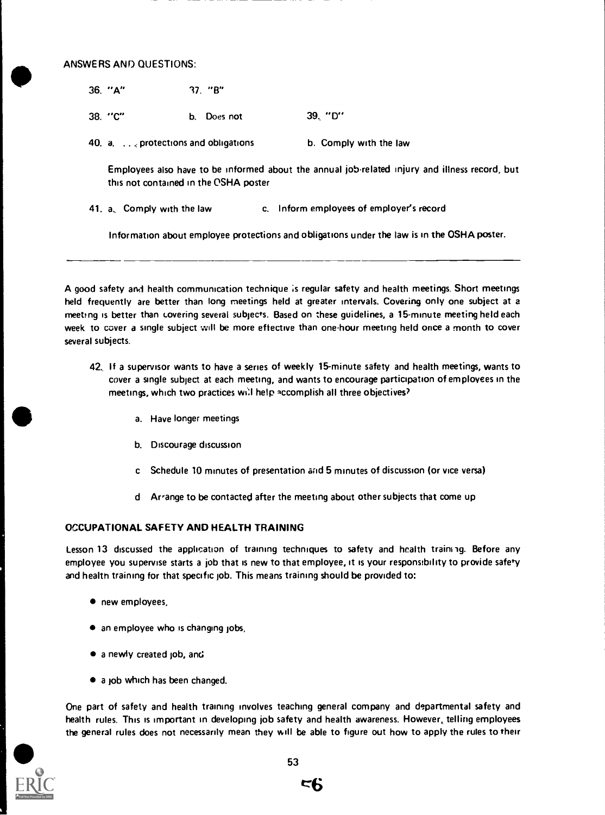ANSWERS AND QUESTIONS:

- 36. "A" 17. "B"
- 38. "C" b. Does not 39, "D"
- 40. a..., protections and obligations b. Comply with the law

Employees also have to be informed about the annual jobrelated injury and illness record, but this not contained in the OSHA poster

41. a, Comply with the law c. Inform employees of employer's record

Information about employee protections and obligations under the law is in the OSHA poster.

A good safety and health communication technique is regular safety and health meetings. Short meetings held frequently are better than long meetings held at greater intervals. Covering only one subject at a meeting is better than covering several subjects. Based on these guidelines, a 15-minute meeting held each week to cover a single subject will be more effective than one-hour meeting held once a month to cover several subjects.

- 42. If a supervisor wants to have a series of weekly 15-minute safety and health meetings, wants to cover a single subject at each meeting, and wants to encourage participation of employees in the meetings, which two practices will help accomplish all three objectives?
	- a. Have longer meetings
	- b. Discourage discussion
	- c Schedule 10 minutes of presentation and 5 minutes of discussion (or vice versa)
	- d Arrange to be contacted after the meeting about other subjects that come up

#### OCCUPATIONAL SAFETY AND HEALTH TRAINING

Lesson 13 discussed the application of training techniques to safety and health training. Before any employee you supervise starts a job that is new to that employee, It is your responsibility to provide safety and health training for that specific job. This means training should be provided to:

- new employees,
- an employee who is changing jobs,
- a newly created job, and
- a job which has been changed.

One part of safety and health training involves teaching general company and departmental safety and health rules. This is important in developing job safety and health awareness. However, telling employees the general rules does not necessarily mean they will be able to figure out how to apply the rules to their



 $E<sub>b</sub>$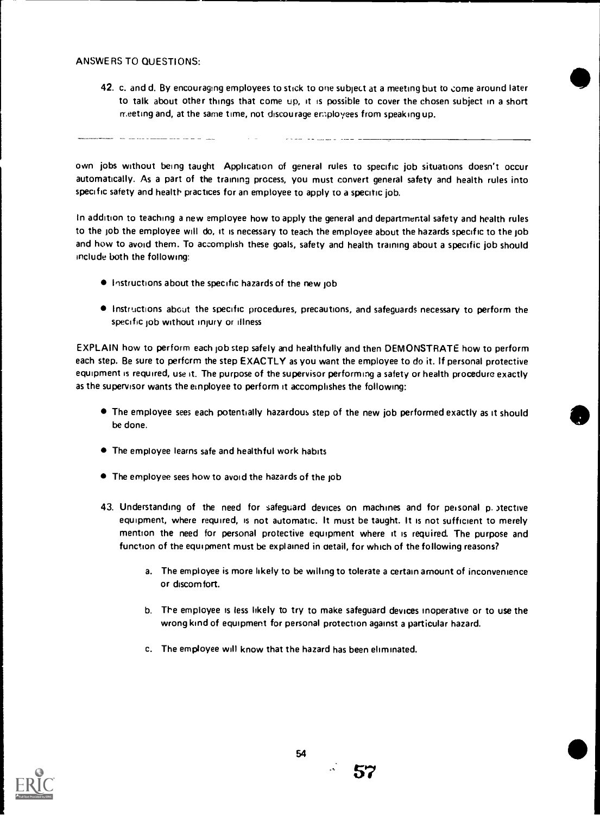42. c. and d. By encouraging employees to stick to one subject at a meeting but to come around later to talk about other things that come up, it is possible to cover the chosen subject in a short meeting and, at the same time, not discourage employees from speaking up.

own jobs without being taught Application of general rules to specific job situations doesn't occur automatically. As a part of the training process, you must convert general safety and health rules into specific safety and health practices for an employee to apply to a specific job.

In addition to teaching a new employee how to apply the general and departmental safety and health rules to the job the employee will do, it is necessary to teach the employee about the hazards specific to the job and how to avoid them. To accomplish these goals, safety and health training about a specific job should include both the following:

- **Instructions about the specific hazards of the new job**
- Instructions about the specific procedures, precautions, and safeguards necessary to perform the specific job without injury or illness

EXPLAIN how to perform each job step safely and healthfully and then DEMONSTRATE how to perform each step. Be sure to perform the step EXACTLY as you want the employee to do it. If personal protective equipment is required, use it. The purpose of the supervisor performing a safety or health procedure exactly as the supervisor wants the einployee to perform it accomplishes the following:

- The employee sees each potentially hazardous step of the new job performed exactly as it should be done.
- The employee learns safe and healthful work habits
- The employee sees how to avoid the hazards of the job
- 43. Understanding of the need for safeguard devices on machines and for personal p. 3tective equipment, where required, is not automatic. It must be taught. It is not sufficient to merely mention the need for personal protective equipment where it is required. The purpose and function of the equipment must be explained in detail, for which of the following reasons?
	- a. The employee is more likely to be willing to tolerate a certain amount of inconvenience or discomfort.
	- b. The employee is less likely to try to make safeguard devices inoperative or to use the wrong kind of equipment for personal protection against a particular hazard.
	- c. The employee will know that the hazard has been eliminated.



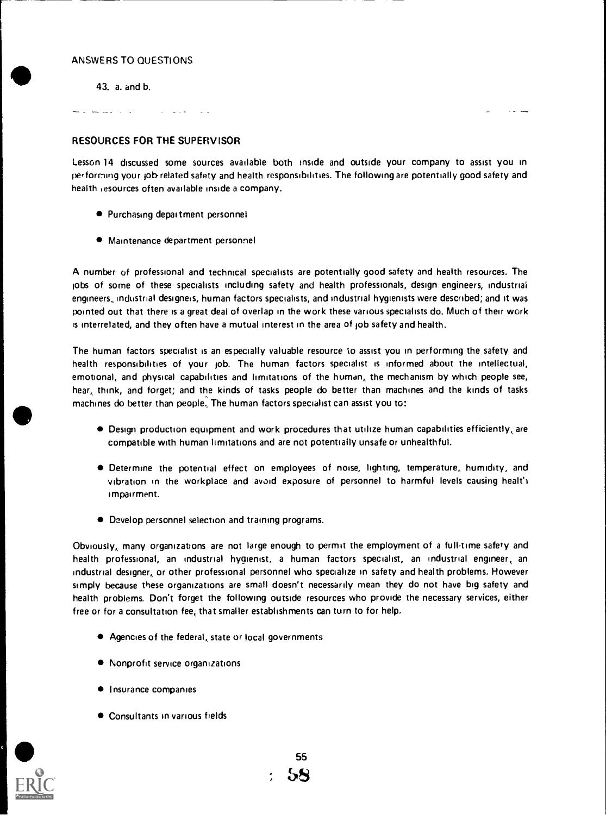43. a. and b.

and and control

# RESOURCES FOR THE SUPERVISOR

Lesson 14 discussed some sources available both inside and outside your company to assist you in performing your job-related safety and health responsibilities. The following are potentially good safety and health resources often available inside a company.

- Purchasing department personnel
- Maintenance department personnel

A number of professional and technical specialists are potentially good safety and health resources. The lobs of some of these specialists including safety and health professionals, design engineers, industrial engineers industrial designers, human factors specialists, and industrial hygienists were described; and it was pointed out that there is a great deal of overlap in the work these various specialists do. Much of their work is interrelated, and they often have a mutual interest in the area of lob safety and health.

The human factors specialist is an especially valuable resource to assist you in performing the safety and health responsibilities of your job. The human factors specialist is informed about the intellectual, emotional, and physical capabilities and limitations of the human, the mechanism by which people see, hear, think, and forget; and the kinds of tasks people do better than machines and the kinds of tasks machines do better than people, The human factors specialist can assist you to:

- Design production equipment and work procedures that utilize human capabilities efficiently, are compatible with human limitations and are not potentially unsafe or unhealthful.
- $\bullet$  Determine the potential effect on employees of noise, lighting, temperature, humidity, and vibration in the workplace and avoid exposure of personnel to harmful levels causing healt') impairment.
- Develop personnel selection and training programs.

Obviously, many organizations are not large enough to permit the employment of a full-time safety and health professional, an industrial hygienist, a human factors specialist, an industrial engineer, an industrial designer, or other professional personnel who specialize in safety and health problems, However simply because these organizations are small doesn't necessarily mean they do not have big safety and health problems. Don't forget the following outside resources who provide the necessary services, either free or for a consultation fee, that smaller establishments can turn to for help,

- Agencies of the federal, state or local governments
- Nonprofit service organizations
- **Insurance companies**
- Consultants in various fields



55 აყ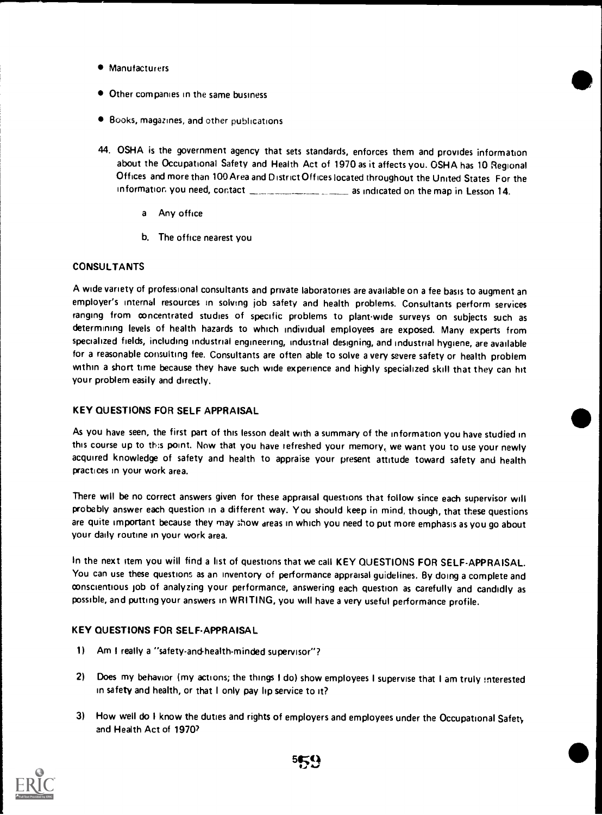- **Manufacturers**
- $\bullet$  Other companies in the same business
- Books, magazines, and other publications
- 44. OSHA is the government agency that sets standards, enforces them and provides information about the Occupational Safety and Health Act of 1970 as it affects you. OSHA has 10 Regional Offices and more than 100 Area and District Offices located throughout the United States For the information you need, contact **and in the map in Lesson 14.** 
	- <sup>a</sup> Any office
	- b. The office nearest you

# **CONSULTANTS**

A wide variety of professional consultants and private laboratories are available on a fee basis to augment an employer's internal resources in solving job safety and health problems. Consultants perform services ranging from concentrated studies of specific problems to plant-wide surveys on subjects such as determining levels of health hazards to which individual employees are exposed. Many experts from specialized fields, including industrial engineering, industrial designing, and industrial hygiene, are available for a reasonable consulting fee. Consultants are often able to solve a very severe safety or health problem within a short time because they have such wide experience and highly specialized skill that they can hit your problem easily and directly.

# KEY QUESTIONS FOR SELF APPRAISAL

As you have seen, the first part of this lesson dealt with a summary of the information you have studied in this course up to this point. Now that you have refreshed your memory, we want you to use your newly acquired knowledge of safety and health to appraise your present attitude toward safety and health practices in your work area.

There will be no correct answers given for these appraisal questions that follow since each supervisor will probably answer each question in a different way. You should keep in mind, though, that these questions are quite important because they may show areas in which you need to put more emphasis as you go about your daily routine in your work area.

In the next item you will find a list of questions that we call KEY QUESTIONS FOR SELF-APPRAISAL. You can use these questions as an inventory of performance appraisal guidelines. By doing a complete and conscientious job of analyzing your performance, answering each question as carefully and candidly as possible, and putting your answers in WRITING, you will have a very useful performance profile.

# KEY QUESTIONS FOR SELF-APPRAISAL

- 1) Am I really a "safety-and-health-minded supervisor"?
- 2) Does my behavior (my actions; the things I do) show employees I supervise that I am truly interested in safety and health, or that I only pay lip service to it?
- 3) How well do I know the duties and rights of employers and employees under the Occupational Safety and Health Act of 19707

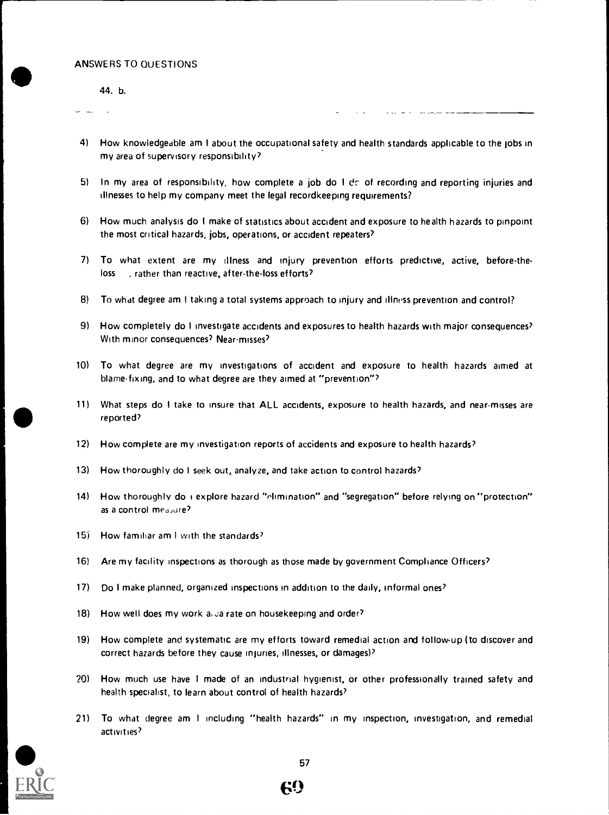44. b.

- 4) How knowledgeable am I about the occupational safety and health standards applicable to the jobs in my area of supervisory responsibility?
- 5) In my area of responsibility, how complete a job do  $1 \, \text{d}z$  of recording and reporting injuries and illnesses to help my company meet the legal recordkeeping requirements?
- 6) How much analysis do I make of statistics about accident and exposure to health hazards to pinpoint the most critical hazards, jobs, operations, or accident repeaters'
- 7) To what extent are my illness and injury prevention efforts predictive, active, before-theloss . rather than reactive, after-theloss efforts?
- 8) To what degree am I taking a total systems approach to injury and illness prevention and control?
- 9) How completely do I investigate accidents and exposures to health hazards with major consequences? With minor consequences? Near-misses?
- 10) To what degree are my investigations of accident and exposure to health hazards aimed at blame-fixing, and to what degree are they aimed at "prevention"?
- 11) What steps do I take to insure that ALL accidents, exposure to health hazards, and near-misses are reported?
- 12) How complete are my investigation reports of accidents and exposure to health hazards?
- 13) How thoroughly do I seek out, analyze, and take action to control hazards?
- 14) How thoroughly do  $\overline{1}$  explore hazard "elimination" and "segregation" before relying on "protection" as a control measure?
- 15) How familiar am I with the standards?
- 16) Are my facility inspections as thorough as those made by government Compliance Officers'
- 17) Do I make planned, organized inspections in addition to the daily, informal ones?
- 18) How well does my work a. Ja rate on housekeeping and order?
- 19) How complete and systematic are my efforts toward remedial action and follow-up (to discover and correct hazards before they cause injuries, illnesses, or damages)?
- 20) How much use have <sup>I</sup> made of an industrial hygienist, or other professionally trained safety and health specialist, to learn about control of health hazards?
- 21) To what degree am <sup>I</sup> including "health hazards" in my inspection, investigation, and remedial activities?



69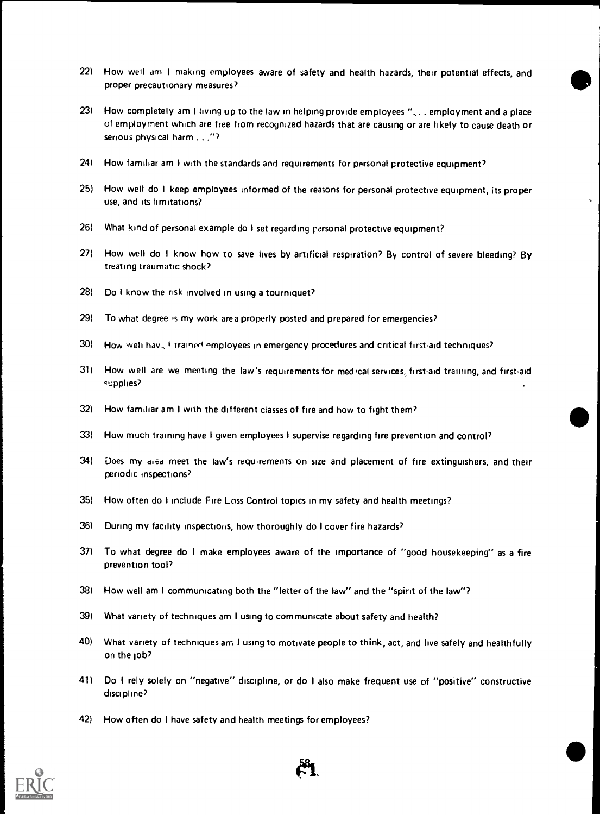- 22) How well am I making employees aware of safety and health hazards, their potential effects, and proper precautionary measures?
- 23) How completely am I living up to the law in helping provide employees "... employment and a place of employment which are free from recognized hazards that are causing or are likely to cause death or serious physical harm . . . "?
- 24) How familiar am I with the standards and requirements for personal protective equipment?
- 25) How well do I keep employees informed of the reasons for personal protective equipment, its proper use, and its limitations?
- 26) What kind of personal example do I set regarding personal protective equipment?
- 27) How well do I know how to save lives by artificial respiration? By control of severe bleeding? By treating traumatic shock?
- 28) Do I know the risk involved in using a tourniquet?
- 29) To what degree is my work area properly posted and prepared for emergencies?
- 30) How well hay. I trained employees in emergency procedures and critical first-aid techniques?
- 31) How well are we meeting the law's requirements for medical services, first-aid training, and first-aid supplies?
- 32) How familiar am I with the different classes of fire and how to fight them?
- 33) How much training have I given employees I supervise regarding fire prevention and control?
- 34) Does my died meet the law's requirements on size and placement of fire extinguishers, and their periodic inspections?
- 35) How often do I include Fire Loss Control topics in my safety and health meetings?
- 36) During my facility inspections, how thoroughly do I cover fire hazards?
- 37) To what degree do I make employees aware of the importance of "good housekeeping" as a fire prevention tool?
- 38) How well am I communicating both the "letter of the law" and the "spirit of the law"?
- 39) What variety of techniques am I using to communicate about safety and health?
- 40) What variety of techniques am I using to motivate people to think, act, and live safely and healthfully on the Job?
- 41) Do I rely solely on "negative" discipline, or do I also make frequent use of "positive" constructive discipline?
- 42) How often do I have safety and health meetings for employees?



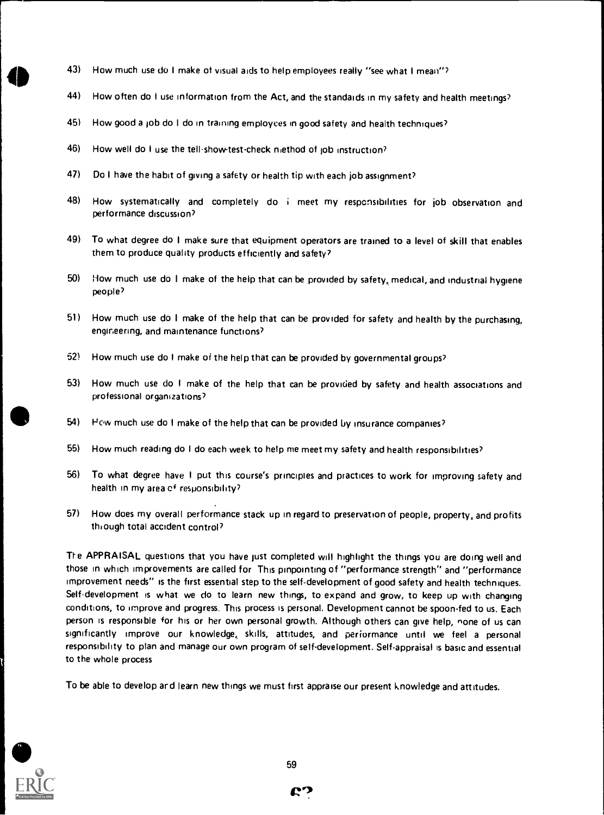- 43) How much use do I make of visual aids to help employees really "see what I mean"?
- 44) How often do I use information from the Act, and the standards in my safety and health meetings?
- 45) How good a job do I do in training employees in good safety and health techniques?
- 46) How well do I use the tell-show-test-check method of job instruction?
- 47) Do I have the habit of giving a safety or health tip with each job assignment?
- 48) How systematically and completely do <sup>i</sup> meet my responsibilities for job observation and performance discussion?
- 49) To what degree do I make sure that equipment operators are trained to a level of skill that enables them to produce quality products efficiently and safety?
- 50) How much use do I make of the help that can be provided by safety, medical, and industrial hygiene people?
- 51) How much use do I make of the help that can be provided for safety and health by the purchasing, engineering, and maintenance functions?
- 52) How much use do I make of the help that can be provided by governmental groups?
- 53) How much use do I make of the help that can be provided by safety and health associations and professional organizations?
- 54) How much use do I make of the help that can be provided by insurance companies?
- 55) How much reading do I do each week to help me meet my safety and health responsibilities?
- 56) To what degree have <sup>I</sup> put this course's principles and practices to work for improving safety and health in my area of responsibility?
- 57) How does my overall performance stack up in regard to preservation of people, property, and profits through total accident control?

The APPRAISAL questions that you have just completed will highlight the things you are doing well and those in which improvements are called for This pinpointing of "performance strength" and "performance improvement needs" is the first essential step to the self-development of good safety and health techniques. Self-development is what we do to learn new things, to expand and grow, to keep up with changing conditions, to improve and progress. This process is personal. Development cannot be spoon-fed to us. Each person is responsible for his or her own personal growth. Although others can give help, none of us can significantly improve our knowledge, skills, attitudes, and performance until we feel <sup>a</sup> personal responsibility to plan and manage our own program of self-development. Self-appraisal is basic and essential to the whole process

To be able to develop and learn new things we must first appraise our present knowledge and attitudes.



e."